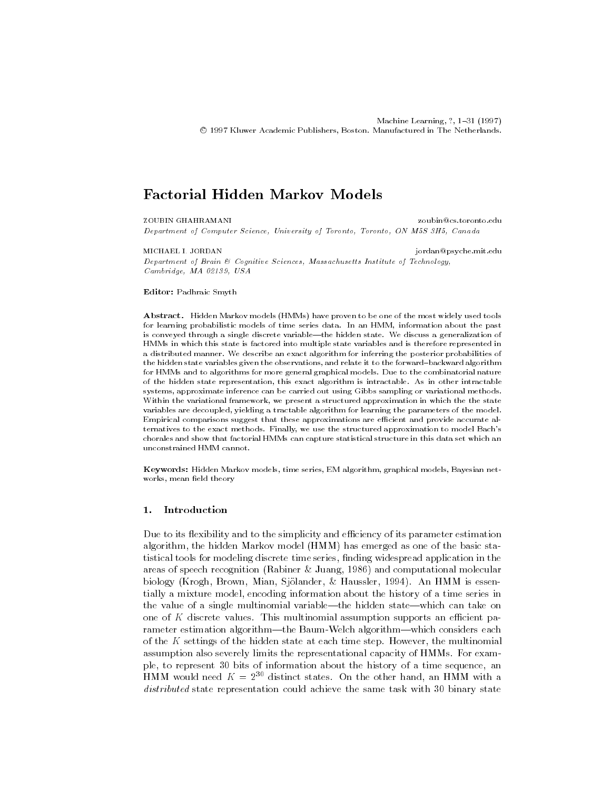# Factorial Hidden Markov Models

ZOUBIN GHAHRAMANI Department of Computer Science University of Toronto Toronto ON M-S H- Canada

MICHAEL I. JORDAN

Department of Brain  $\mathcal C$  Cognitive Sciences, Massachusetts Institute of Technology,  $Cambridge, MA$  02139, USA

Editor: Padhraic Smyth

abstractive models have models have not proven to proven to be one of the most widely used to be for learning probabilistic models of time series data In an HMM information about the past is conveyed through a single discrete variablethe hidden state We discuss a generalization of HMMs in which this state is factored into multiple state variables and is therefore represented in a distributed manners are distributed manner ma<sub>n</sub>erissimistic microscopy the posterior probabilities of the hidden state variables given the observations, and relate it to the forward-backward algorithm for HMMs and to algorithms for more general graphical models Due to the combinatorial nature of the hidden state representation this exact algorithm is intractable algorithm intractable  $\Omega$ systems, approximate inference can be carried out using Gibbs sampling or variational methods. Within the variational framework, we present a structured approximation in which the the state variables are decoupled, yielding a tractable algorithm for learning the parameters of the model. Empirical comparisons suggest that these approximations are efficient and provide accurate alternatives to the exact methods to the structured approximation to model Bachsson to model Bachsson to model Bachsson to model Bachsson to model Bachsson to model Bachsson to model Bachsson to model Bachsson to model Bach chorales and show that factorial HMMs can capture statistical structure in this data set which an unconstrained HMM cannot

Keywords: Hidden Markov models, time series, EM algorithm, graphical models, Bayesian networks, mean field theory

#### 1. Introduction

Due to its exibility and to the simplicity and e-ciency of its parameter estimation algorithm, the hidden Markov model (HMM) has emerged as one of the basic statistical tools for modeling discrete time series, finding widespread application in the areas are presented in American presentation in a monegal record in and computational models where the computa biology (principle) biology functional dependence of the signal signal control of the signal control of the signal of the signal control of the signal control of the signal control of the signal control of the signal contr tially a mixture model encoding information about the history of a time series in the value of a single multinomial variable—the hidden state—which can take on one of K discrete values This multinomial assumption supports an e-cient pa rameter estimation algorithm—the Baum-Welch algorithm—which considers each of the  $K$  settings of the hidden state at each time step. However, the multinomial assumption also severely limits the representational capacity of HMMs. For example, to represent 30 bits of information about the history of a time sequence, an  $H$ MM would need  $K = 2^{++}$  distinct states. On the other hand, an  $H$ MM with a distributed state representation could achieve the same task with binary state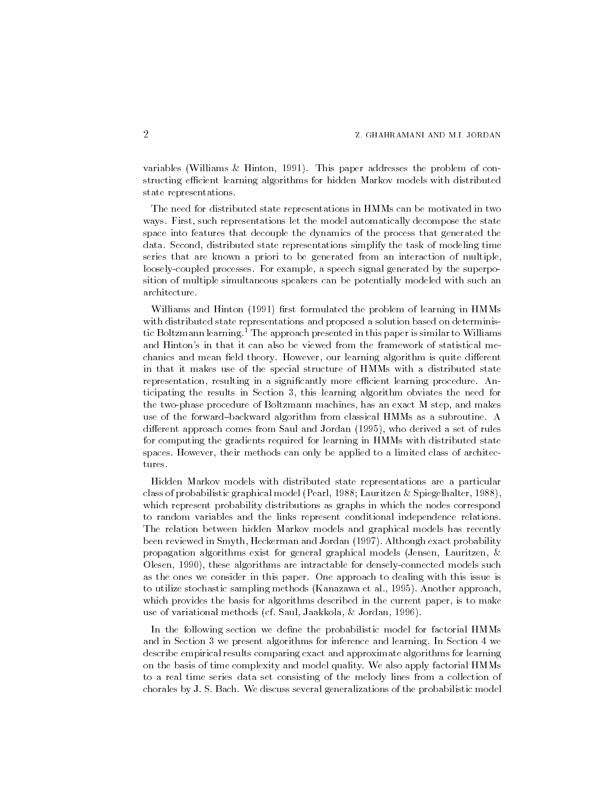$\mathbf{v}$  and  $\mathbf{v}$  and  $\mathbf{v}$  and  $\mathbf{v}$  are problem of contract the problem of contract the problem of contract the problem of contract the problem of contract the problem of contract the problem of contract the p structing e-cient learning algorithms for hidden Markov models with distributed state representations

The need for distributed state representations in HMMs can be motivated in two ways. First, such representations let the model automatically decompose the state space into features that decouple the dynamics of the process that generated the data. Second, distributed state representations simplify the task of modeling time series that are known a priori to be generated from an interaction of multiple loosely-coupled processes. For example, a speech signal generated by the superposition of multiple simultaneous speakers can be potentially modeled with such an architecture

will be an anomalized the problem of learning in HMMs and  $\mathbf{r}$ with distributed state representations and proposed a solution based on determinis tic Boltzmann learning.<sup>1</sup> The approach presented in this paper is similar to Williams and Hinton's in that it can also be viewed from the framework of statistical mechanics and mean field theory. However, our learning algorithm is quite different in that it makes use of the special structure of HMMs with a distributed state representation resulting in a signicantly more e-cient learning procedure An ticipating the results in Section 3, this learning algorithm obviates the need for the two-phase procedure of Boltzmann machines, has an exact M step, and makes use of the forward-backward algorithm from classical HMMs as a subroutine. A dierent approach comes from Saul and Jordan I and Jordan II and Jordan Saul and Saul and Saul and Saul and Sau for computing the gradients required for learning in HMMs with distributed state spaces. However, their methods can only be applied to a limited class of architectures.

Hidden Markov models with distributed state representations are a particular class of probability graphical model is the question of model in a progressive  $\mathbf{I}$ which represent probability distributions as graphs in which the nodes correspond to random variables and the links represent conditional independence relations The relation between hidden Markov models and graphical models has recently been reviewed in Smyth Heckerman and Jordan Westerly Letter and Jordan Approximation of probability and propagation algorithms exist for general graphical models (Jensen, Lauritzen,  $\&$ Olesen these algorithms are intractable for denselyconnected models such as the ones we consider in this paper One approach to dealing with this issue is to utilize stochastic sampling methods Kanazawa et al another approach approach approach approach approach appr which provides the basis for algorithms described in the current paper, is to make use of variation methods can part started communities to a part of the Saul Ja

In the following section we dene the probabilistic model for factorial HMMs and in Section 3 we present algorithms for inference and learning. In Section 4 we describe empirical results comparing exact and approximate algorithms for learning on the basis of time complexity and model quality We also apply factorial HMMs to a real time series data set consisting of the melody lines from a collection of chorales by J S Bach We discuss several generalizations of the probabilistic model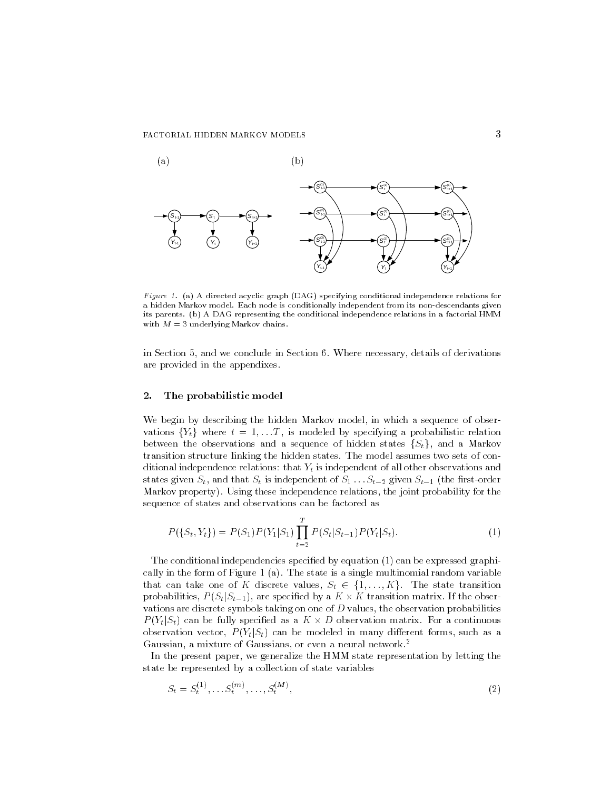

Figure 1. (a) A directed acyclic graph (DAG) specifying conditional independence relations for a markov model is conditionally model is conditionally independent from its non-alternative given and its partners (a) it control teperaturing the conditions independence relations in a factorial HMMM with  $M = 3$  underlying Markov chains.

in Section 5, and we conclude in Section 6. Where necessary, details of derivations are provided in the appendixes

#### $\mathbf{2}$  . The probabilistic model

We begin by describing the hidden Markov model, in which a sequence of observations  $\{Y_t\}$  where  $t = 1, \ldots T$ , is modeled by specifying a probabilistic relation between the observations and a sequence of hidden states  $\{S_t\}$ , and a Markov transition structure linking the hidden states The model assumes two sets of con ditional independence relations: that  $Y_t$  is independent of all other observations and states given St is in der States of St is independent of St is independent of St is independent of the restord Markov property). Using these independence relations, the joint probability for the sequence of states and observations can be factored as

$$
P(\{S_t, Y_t\}) = P(S_1)P(Y_1|S_1)\prod_{t=2}^T P(S_t|S_{t-1})P(Y_t|S_t).
$$
\n(1)

The conditional independencies specified by equation  $(1)$  can be expressed graphically in the form of Figure 1 (a). The state is a single multinomial random variable that can take one of K discrete values,  $S_t \in \{1, ..., K\}$ . The state transition probabilities,  $P(S_t|S_{t-1})$ , are specified by a  $K \times K$  transition matrix. If the observations are discrete symbols taking on one of  $D$  values, the observation probabilities  $P(Y_t|S_t)$  can be fully specified as a  $K \times D$  observation matrix. For a continuous observation vector,  $P(Y_t|S_t)$  can be modeled in many different forms, such as a Gaussian, a mixture of Gaussians, or even a neural network.<sup>2</sup>

In the present paper, we generalize the HMM state representation by letting the state be represented by a collection of state variables

$$
S_t = S_t^{(1)}, \dots S_t^{(m)}, \dots, S_t^{(M)}, \tag{2}
$$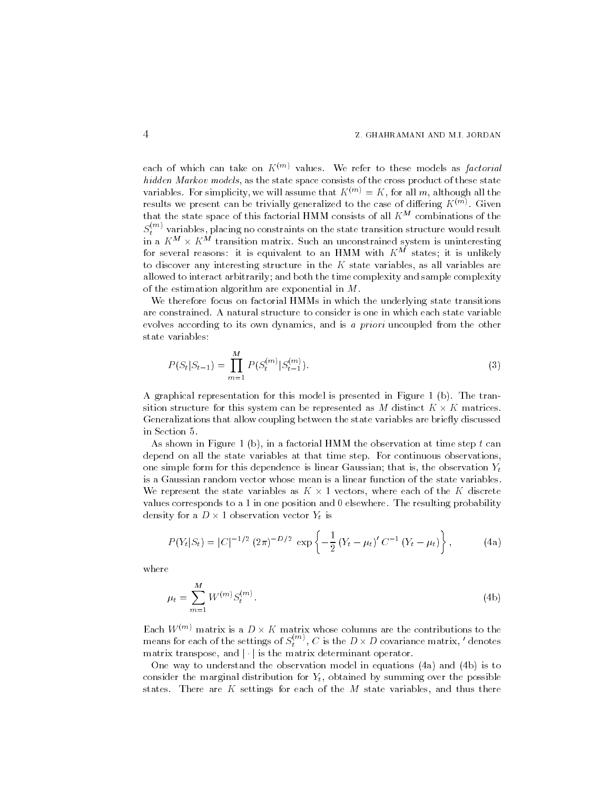each of which can take on  $K^{(m)}$  values. We refer to these models as factorial hidden Markov models, as the state space consists of the cross product of these state variables. For simplicity, we will assume that  $K^{(m)} = K$ , for all m, although all the results we present can be trivially generalized to the case of differing  $K^{\rm{max}}$  . Given that the state space of this factorial HMM consists of all  $K^M$  combinations of the  $S_t^{\rm{max}}$  variables, placing no constraints on the state transition structure would result in a K  $\mathrm{^m}\times \mathrm{K}$  transition matrix. Such an unconstrained system is uninteresting for several reasons: it is equivalent to an HMM with  $K^M$  states; it is unlikely to discover any interesting structure in the  $K$  state variables, as all variables are allowed to interact arbitrarily; and both the time complexity and sample complexity of the estimation algorithm are exponential in  $M$ .

We therefore focus on factorial HMMs in which the underlying state transitions are constrained. A natural structure to consider is one in which each state variable evolves according to its own dynamics, and is a priori uncoupled from the other state variables

$$
P(S_t|S_{t-1}) = \prod_{m=1}^{M} P(S_t^{(m)}|S_{t-1}^{(m)}).
$$
\n(3)

A graphical representation for this model is presented in Figure 1 (b). The transition structure for this system can be represented as  $M$  distinct  $K \times K$  matrices. Generalizations that allow coupling between the state variables are briefly discussed in Section

As shown in Figure 1 (b), in a factorial HMM the observation at time step  $t$  can depend on all the state variables at that time step. For continuous observations, one simple form for this dependence is linear Gaussian; that is, the observation  $Y_t$ is a Gaussian random vector whose mean is a linear function of the state variables We represent the state variables as  $K \times 1$  vectors, where each of the K discrete values corresponds to a 1 in one position and  $0$  elsewhere. The resulting probability density for a  $D \times 1$  observation vector  $Y_t$  is

$$
P(Y_t|S_t) = |C|^{-1/2} (2\pi)^{-D/2} \exp \left\{-\frac{1}{2} (Y_t - \mu_t)' C^{-1} (Y_t - \mu_t) \right\}, \qquad (4a)
$$

where

$$
\mu_t = \sum_{m=1}^{M} W^{(m)} S_t^{(m)}.
$$
\n(4b)

Each  $W^{(m)}$  matrix is a  $D\times K$  matrix whose columns are the contributions to the means for each of the settings of  $S_t^{(m)}$  ,  $C$  is the  $D\times D$  covariance matrix,  $'$  denotes matrix transpose, and  $|\cdot|$  is the matrix determinant operator.

One way to understand the observation model in equations (4a) and (4b) is to consider the marginal distribution for  $Y_t$ , obtained by summing over the possible states. There are  $K$  settings for each of the  $M$  state variables, and thus there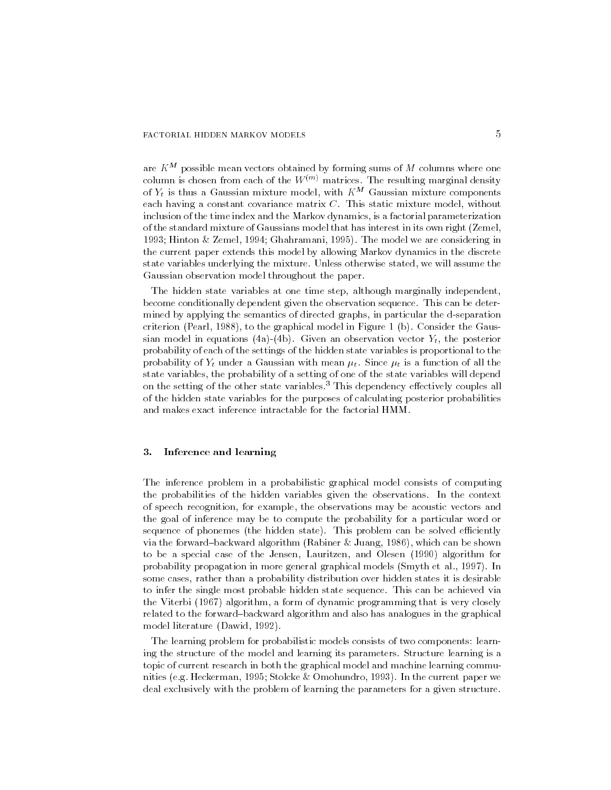are  $K^M$  possible mean vectors obtained by forming sums of  $M$  columns where one column is chosen from each of the  $W^{(m)}$  matrices. The resulting marginal density of  $Y_t$  is thus a Gaussian mixture model, with  $K^M$  Gaussian mixture components each having a constant covariance matrix  $C$ . This static mixture model, without inclusion of the time index and the Markov dynamics is a factorial parameterization of the standard mixture of Gaussians model that has interest in its own right (Zemel, Hinton Zemel Ghahramani The model we are considering in the current paper extends this model by allowing Markov dynamics in the discrete state variables underlying the mixture. Unless otherwise stated, we will assume the Gaussian observation model throughout the paper

The hidden state variables at one time step, although marginally independent, become conditionally dependent given the observation sequence This can be deter mined by applying the semantics of directed graphs, in particular the d-separation criterion Pearl II and the graphical model in Figure 1 and the Gaussian product in Figure 1 and the Gaussian S sian model in equations (4a)-(4b). Given an observation vector  $Y_t$ , the posterior probability of each of the settings of the hidden state variables is proportional to the probability of  $Y_t$  under a Gaussian with mean  $\mu_t$ . Since  $\mu_t$  is a function of all the state variables, the probability of a setting of one of the state variables will depend on the setting of the other state variables.<sup>3</sup> This dependency effectively couples all of the hidden state variables for the purposes of calculating posterior probabilities and makes exact inference intractable for the factorial HMM

#### 3. Inference and learning

The inference problem in a probabilistic graphical model consists of computing the probabilities of the hidden variables given the observations In the context of speech recognition for example the observations may be acoustic vectors and the goal of inference may be to compute the probability for a particular word or sequence of phonemes the hidden state This problem can be solved e-ciently which is the form of the form  $\alpha$  algorithm Rabiner's  $\alpha$  is the shown  $\alpha$  is the shown of the shown  $\alpha$ to be a special case of the Jensen Lauritzen and Olesen Islamic Inc. The Mathematic Corporation of the United probability propagation in more general graphical models Smyth et al al la collection of the social models of some cases rather than a probability distribution over hidden states it is desirable to infer the single most probable hidden state sequence This can be achieved via  $\mathbf{v}$  algorithm a form of dynamic programming that is very closely closely closely closely closely closely closely closely closely closely closely closely closely closely closely closely closely closely closely closely related to the forward-backward algorithm and also has analogues in the graphical model literature Dawid 

The learning problem for probabilistic models consists of two components: learning the structure of the model and learning its parameters Structure learning is a topic of current research in both the graphical model and machine learning commu nities en die Grootste eg Heckerman is die Grootste gewone verwys van die Grootste gewone van die Grootste gew deal exclusively with the problem of learning the parameters for a given structure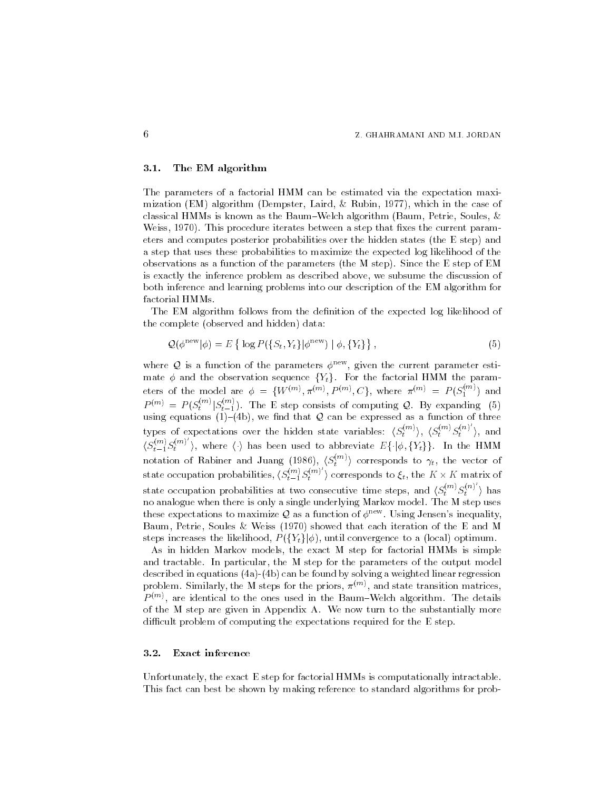#### The EM algorithm

The parameters of a factorial HMM can be estimated via the expectation maxi mization (which in the case of which is the case of the case of  $\alpha$ classical HMMs is known as the Baum-Welch algorithm (Baum, Petrie, Soules,  $\&$ weiss a this procedure iterates between a step that the current parameter  $\mathbb{R}^n$ eters and computes posterior probabilities over the hidden states (the E step) and a step that uses these probabilities to maximize the expected log likelihood of the observations as a function of the parameters (the M step). Since the E step of EM is exactly the inference problem as described above, we subsume the discussion of both inference and learning problems into our description of the EM algorithm for factorial HMMs

The EM algorithm follows from the definition of the expected log likelihood of the complete (observed and hidden) data:

$$
\mathcal{Q}(\phi^{\text{new}}|\phi) = E\left\{ \log P(\{S_t, Y_t\}|\phi^{\text{new}}) \mid \phi, \{Y_t\} \right\},\tag{5}
$$

where Q is a function of the parameters  $\phi^{new}$ , given the current parameter estimate  $\phi$  and the observation sequence  $\{Y_t\}$ . For the factorial HMM the parameters of the model are  $\phi = \{W^{(m)}, \pi^{(m)}, P^{(m)}, C\}$ , where  $\pi^{(m)} = P(S_1^{(m)})$ 1 /  $\cdots$  $P^{(m)} = P(S_t^{(m)} | S_{t-1}^{(m)})$ . The E step consists of computing Q. By expanding (5) using equations  $(1)-(4b)$ , we find that Q can be expressed as a function of three types of expectations over the hidden state variables:  $\langle S_t^{(m)} \rangle$ ,  $\langle S_t^{(m)} S_t^{(n)} \rangle$ , and  $\langle S_{t-1}^{(m)} S_t^{(m)} \rangle$ , where  $\langle \cdot \rangle$  has been used to abbreviate  $E\{\cdot |\phi,\{Y_t\}\}$ . In the HMM notation of Rabiner and Juang (1986),  $\langle S_t^{(m)} \rangle$  corresponds to  $\gamma_t$ , the vector of state occupation probabilities,  $\langle S_{t-1}^{(m)} S_t^{(m)} \rangle$  corresponds to  $\xi_t$ , the  $K \times K$  matrix of state occupation probabilities at two consecutive time steps, and  $\langle S_t^{(m)} S_t^{(n)} \rangle$  has no analogue when there is only a single underlying Markov model The M step uses these expectations to maximize Q as a function of  $\phi^{new}$ . Using Jensen's inequality Baum Petrie Soules Weiss showed that each iteration of the E and M steps increases the likelihood,  $P({Y_t}|\phi)$ , until convergence to a (local) optimum.

As in hidden Markov models the exact M step for factorial HMMs is simple and tractable. In particular, the M step for the parameters of the output model described in equations  $(4a)-(4b)$  can be found by solving a weighted linear regression problem. Similarly, the M steps for the priors,  $\pi^{++}$  and state transition matrices,  $P^{\gamma\gamma\gamma}$ , are identical to the ones used in the Baum-Welch algorithm. The details of the M step are given in Appendix A We now turn to the substantially more diagram of problem of computing the expectations required for the E step.

#### Exact inference

Unfortunately, the exact  $E$  step for factorial HMMs is computationally intractable. This fact can best be shown by making reference to standard algorithms for prob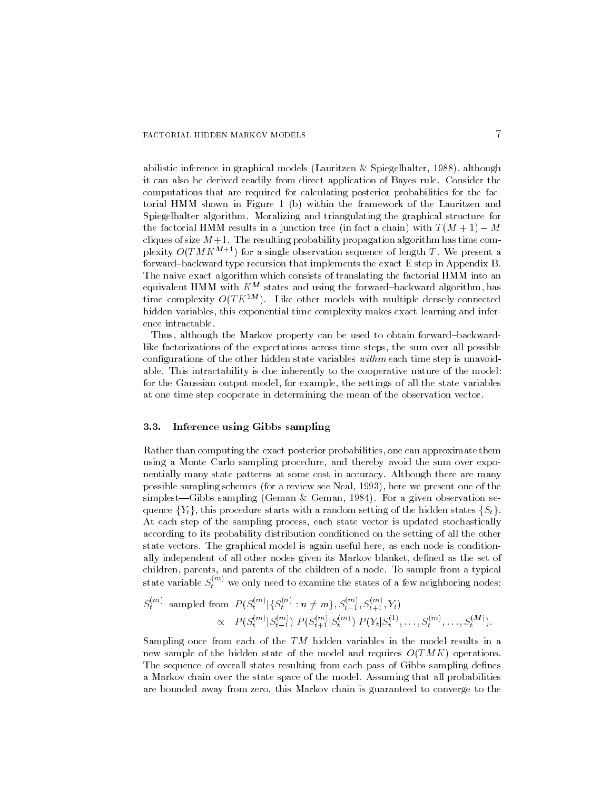abilistic inference in graphical models Lauritzen Spiegelhalter although it can also be derived readily from direct application of Bayes rule Consider the computations that are required for calculating posterior probabilities for the fac torial HMM shown in Figure 1 (b) within the framework of the Lauritzen and Spiegelhalter algorithm. Moralizing and triangulating the graphical structure for the factorial HMM results in a junction tree (in fact a chain) with  $T(M + 1) - M$ cliques of size  $M+1$ . The resulting probability propagation algorithm has time complexity  $O(TMK^{M+1})$  for a single observation sequence of length T. We present a forward-backward type recursion that implements the exact E step in Appendix B. The naive exact algorithm which consists of translating the factorial HMM into an equivalent HMM with  $K^M$  states and using the forward-backward algorithm, has time complexity  $O(TK^{2M})$ . Like other models with multiple densely-connected hidden variables, this exponential time complexity makes exact learning and inference intractable

Thus, although the Markov property can be used to obtain forward-backwardlike factorizations of the expectations across time steps the sum over all possible configurations of the other hidden state variables within each time step is unavoidable. This intractability is due inherently to the cooperative nature of the model: for the Gaussian output model, for example, the settings of all the state variables at one time step cooperate in determining the mean of the observation vector

### Inference using Gibbs sampling

Rather than computing the exact posterior probabilities one can approximate them using a Monte Carlo sampling procedure, and thereby avoid the sum over exponentially many state patterns at some cost in accuracy Although there are many possible sampling schemes for a review see Neal here we present one of the simplestGibbs sampling Geman Geman For a given observation se quence  ${Y_t}$ , this procedure starts with a random setting of the hidden states  ${S_t}$ . At each step of the sampling process, each state vector is updated stochastically according to its probability distribution conditioned on the setting of all the other state vectors. The graphical model is again useful here, as each node is conditionally independent of all other nodes given its Markov blanket, defined as the set of children, parents, and parents of the children of a node. To sample from a typical state variable  $S_t^{\ldots \gamma}$  we only need to examine the states of a few neighboring nodes:

$$
S_t^{(m)} \text{ sampled from } P(S_t^{(m)} | \{S_t^{(n)} : n \neq m\}, S_{t-1}^{(m)}, S_{t+1}^{(m)}, Y_t)
$$

$$
\propto P(S_t^{(m)} | S_{t-1}^{(m)}) P(S_{t+1}^{(m)} | S_t^{(m)}) P(Y_t | S_t^{(1)}, \dots, S_t^{(m)}, \dots, S_t^{(M)}).
$$

Sampling once from each of the TM hidden variables in the model results in a new sample of the hidden state of the model and requires  $O(TMK)$  operations. The sequence of overall states resulting from each pass of Gibbs sampling defines a Markov chain over the state space of the model Assuming that all probabilities are bounded away from zero, this Markov chain is guaranteed to converge to the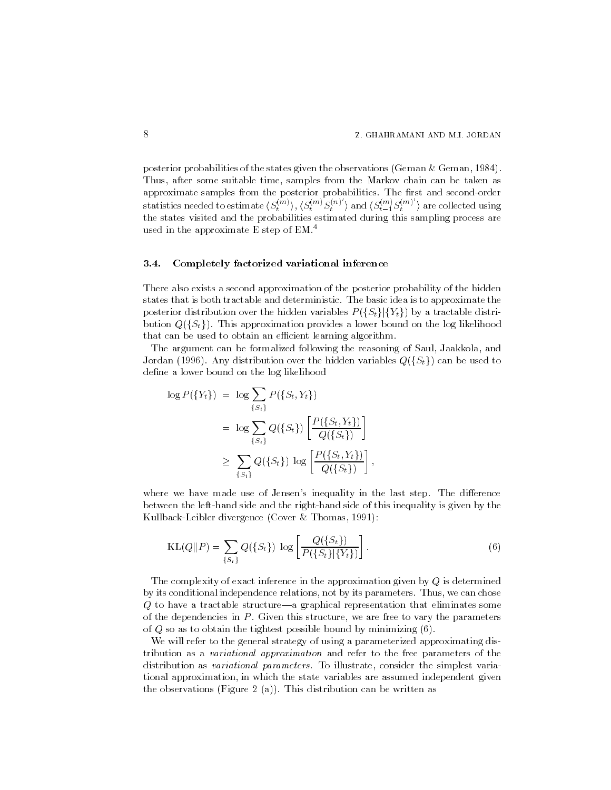posterior probabilities of the states given the observations Geman Geman Thus, after some suitable time, samples from the Markov chain can be taken as approximate samples from the posterior probabilities. The first and second-order statistics needed to estimate  $\langle S_t^{(m)}\rangle,\langle S_t^{(m)}S_t^{(n)}\rangle$  and  $\langle S_{t-1}^{(m)}S_t^{(m)}\rangle$  are collected using the states visited and the probabilities estimated during this sampling process are used in the approximate E step of  $EM<sup>4</sup>$ 

### Completely factorized variational inference

There also exists a second approximation of the posterior probability of the hidden states that is both tractable and deterministic The basic idea is to approximate the posterior distribution over the hidden variables  $P({S_t}|\{Y_t\})$  by a tractable distribution  $Q({S_t})$ . This approximation provides a lower bound on the log likelihood that can be used to obtain an e-cient learning algorithm and  $\alpha$ 

The argument can be formalized following the reasoning of Saul, Jaakkola, and Jordan (1996). Any distribution over the hidden variables  $Q(\{S_t\})$  can be used to define a lower bound on the log likelihood

$$
\log P(\lbrace Y_t \rbrace) = \log \sum_{\lbrace S_t \rbrace} P(\lbrace S_t, Y_t \rbrace)
$$
  
= 
$$
\log \sum_{\lbrace S_t \rbrace} Q(\lbrace S_t \rbrace) \left[ \frac{P(\lbrace S_t, Y_t \rbrace)}{Q(\lbrace S_t \rbrace)} \right]
$$
  

$$
\geq \sum_{\lbrace S_t \rbrace} Q(\lbrace S_t \rbrace) \log \left[ \frac{P(\lbrace S_t, Y_t \rbrace)}{Q(\lbrace S_t \rbrace)} \right],
$$

where we have made use of Jensen's inequality in the last step. The difference between the left-hand side and the right-hand side of this inequality is given by the kullbackleibler divergence (the cover and an interesting the co

$$
KL(Q||P) = \sum_{\{S_t\}} Q(\{S_t\}) \log \left[ \frac{Q(\{S_t\})}{P(\{S_t\}|\{Y_t\})} \right].
$$
\n(6)

The complexity of exact inference in the approximation given by  $Q$  is determined by its conditional independence relations, not by its parameters. Thus, we can chose  $Q$  to have a tractable structure—a graphical representation that eliminates some of the dependencies in  $P$ . Given this structure, we are free to vary the parameters of  $Q$  so as to obtain the tightest possible bound by minimizing  $(6)$ .

We will refer to the general strategy of using a parameterized approximating dis tribution as a variational approximation and refer to the free parameters of the distribution as *variational parameters*. To illustrate, consider the simplest variational approximation in which the state variables are assumed independent given the observations (Figure 2 (a)). This distribution can be written as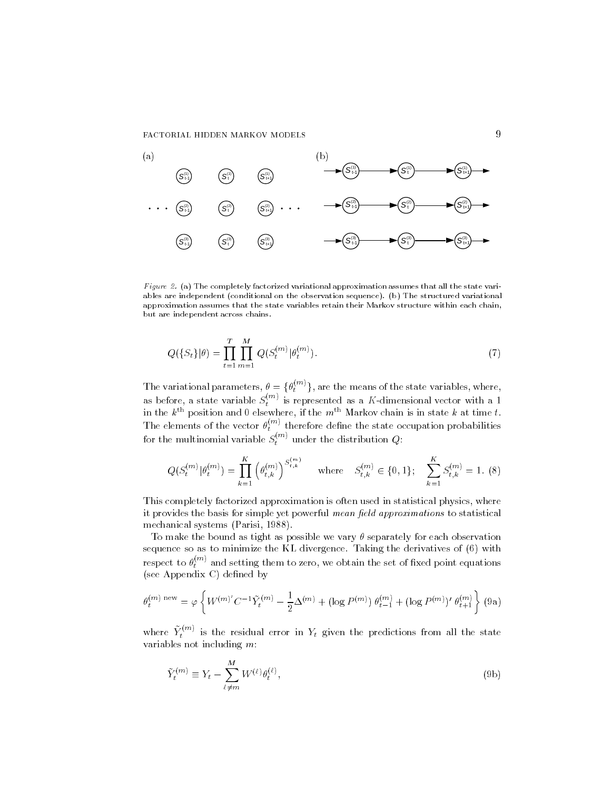FACTORIAL HIDDEN MARKOV MODELS



Figure 2. (a) The completely factorized variational approximation assumes that all the state variables are independent conditional on the observation sequence  $\mu$  , and structured variations  $\mu$ approximation assumes that the state variables retain their Markov structure within each chain but are independent across chains

$$
Q(\{S_t\}|\theta) = \prod_{t=1}^{T} \prod_{m=1}^{M} Q(S_t^{(m)}|\theta_t^{(m)}).
$$
\n(7)

The variational parameters,  $\theta = {\theta_t^{(m)}}$ , are the means of the state variables, where, as before, a state variable  $S_t^{\ldots}$  is represented as a K-dimensional vector with a 1 in the  $k^{\text{th}}$  position and 0 elsewhere, if the  $m^{\text{th}}$  Markov chain is in state  $k$  at time  $t$ . The elements of the vector  $\theta_t^{***}$  therefore define the state occupation probabilities for the multinomial variable  $S_t^{\mathrm{max}}$  under the distribution  $Q$ :

$$
Q(S_t^{(m)} | \theta_t^{(m)}) = \prod_{k=1}^K \left(\theta_{t,k}^{(m)}\right)^{S_{t,k}^{(m)}} \quad \text{where} \quad S_{t,k}^{(m)} \in \{0, 1\}; \quad \sum_{k=1}^K S_{t,k}^{(m)} = 1. \tag{8}
$$

This completely factorized approximation is often used in statistical physics where it provides the basis for simple yet powerful mean field approximations to statistical mechanical systems Parisi 

To make the bound as tight as possible we vary  $\theta$  separately for each observation sequence so as to minimize the KL divergence. Taking the derivatives of (6) with respect to  $\theta_t^{***}$  and setting them to zero, we obtain the set of fixed point equations (see Appendix C) defined by

$$
\theta_t^{(m) \text{ new}} = \varphi \left\{ W^{(m)'} C^{-1} \tilde{Y}_t^{(m)} - \frac{1}{2} \Delta^{(m)} + (\log P^{(m)}) \theta_{t-1}^{(m)} + (\log P^{(m)})' \theta_{t+1}^{(m)} \right\} (9a)
$$

where  $Y_t^{\cdots \cdots}$  is the residual error in  $Y_t$  given the predictions from all the state variables not including  $m$ :

$$
\tilde{Y}_t^{(m)} \equiv Y_t - \sum_{\ell \neq m}^{M} W^{(\ell)} \theta_t^{(\ell)}, \tag{9b}
$$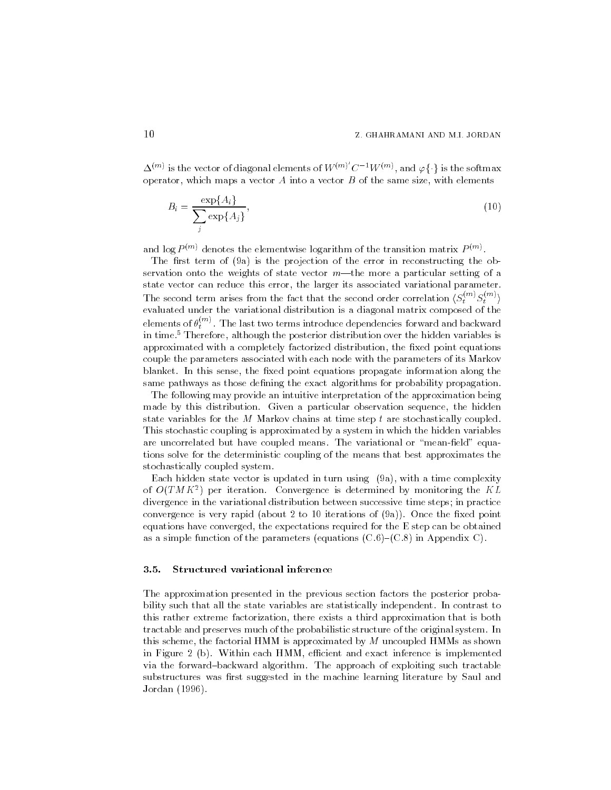$\Delta^{(m)}$  is the vector of diagonal elements of  $W^{(m)}$   $C^{-1}W^{(m)}$ , and  $\varphi\{\cdot\}$  is the softmax operator, which maps a vector  $A$  into a vector  $B$  of the same size, with elements

$$
B_i = \frac{\exp\{A_i\}}{\sum_j \exp\{A_j\}},\tag{10}
$$

and log  $P$  m denotes the elementwise logarithm of the transition matrix  $P$  m  $\ell$ 

The rst term of a is the projection of the error in reconstructing the ob servation onto the weights of state vector  $m$ —the more a particular setting of a state vector can reduce this error, the larger its associated variational parameter. The second term arises from the fact that the second order correlation  $\langle S_t^{(m)} S_t^{(m)} \rangle$ evaluated under the variational distribution is a diagonal matrix composed of the elements of  $\theta_*^{\rm \tiny{corr}}$  . The last two terms introduce dependencies forward and backward in time.<sup>5</sup> Therefore, although the posterior distribution over the hidden variables is approximated with a completely factorized distribution, the fixed point equations couple the parameters associated with each node with the parameters of its Markov blanket. In this sense, the fixed point equations propagate information along the same pathways as those defining the exact algorithms for probability propagation.

The following may provide an intuitive interpretation of the approximation being made by this distribution. Given a particular observation sequence, the hidden state variables for the M Markov chains at time step  $t$  are stochastically coupled. This stochastic coupling is approximated by a system in which the hidden variables are uncorrelated but have coupled means. The variational or "mean-field" equations solve for the deterministic coupling of the means that best approximates the stochastically coupled system

Each hidden state vector is updated in turn using a with a time complexity of  $O(1 \, M \, K^{-})$  per iteration. Convergence is determined by monitoring the  $K L$ divergence in the variational distribution between successive time steps in practice convergence is very rapid about the xed point of the xed point of the xed point of the xed point of the xed poi equations have converged, the expectations required for the  $E$  step can be obtained as a simple function of the parameters (equations  $(C.6)$ – $(C.8)$  in Appendix C).

## Structured variational inference

The approximation presented in the previous section factors the posterior proba bility such that all the state variables are statistically independent. In contrast to this rather extreme factorization there exists a third approximation that is both tractable and preserves much of the probabilistic structure of the original system In this scheme, the factorial HMM is approximated by  $M$  uncoupled HMMs as shown in Figure b Within each HMM e-cient and exact inference is implemented via the forward-backward algorithm. The approach of exploiting such tractable substructures was first suggested in the machine learning literature by Saul and Jordan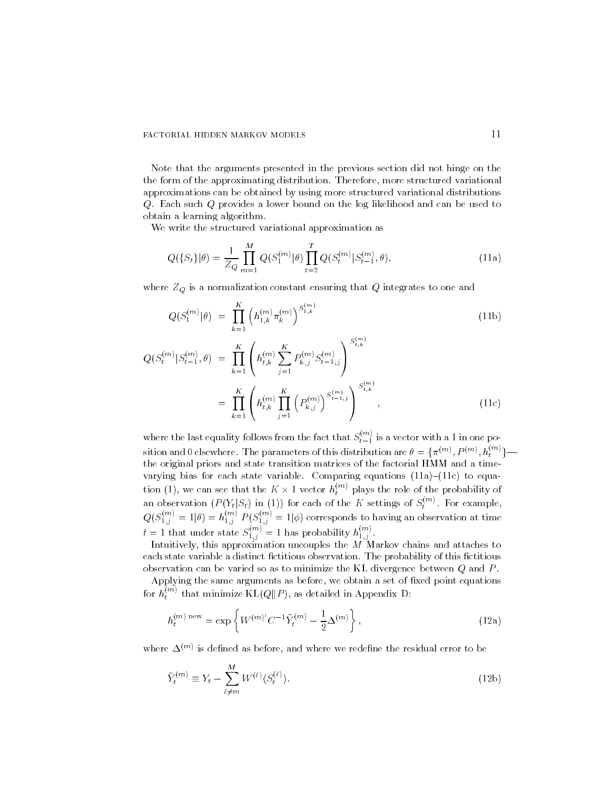Note that the arguments presented in the previous section did not hinge on the the form of the approximating distribution. Therefore, more structured variational approximations can be obtained by using more structured variational distributions Q Each such Q provides a lower bound on the log likelihood and can be used to obtain a learning algorithm

We write the structured variational approximation as

$$
Q(\{S_t\}|\theta) = \frac{1}{Z_Q} \prod_{m=1}^{M} Q(S_1^{(m)}|\theta) \prod_{t=2}^{T} Q(S_t^{(m)}|S_{t-1}^{(m)}, \theta), \qquad (11a)
$$

where  $Z_Q$  is a normalization constant ensuring that  $Q$  integrates to one and

$$
Q(S_1^{(m)}|\theta) = \prod_{k=1}^K \left( h_{1,k}^{(m)} \pi_k^{(m)} \right)^{S_{1,k}^{(m)}} \tag{11b}
$$

$$
Q(S_t^{(m)}|S_{t-1}^{(m)},\theta) = \prod_{k=1}^K \left( h_{t,k}^{(m)} \sum_{j=1}^K P_{k,j}^{(m)} S_{t-1,j}^{(m)} \right)^{S_{t,k}^{(m)}} = \prod_{k=1}^K \left( h_{t,k}^{(m)} \prod_{j=1}^K \left( P_{k,j}^{(m)} \right)^{S_{t-1,j}^{(m)}} \right)^{S_{t,k}^{(m)}},
$$
(11c)

where the last equality follows from the fact that  $S_{t-1}^{\infty}$  is a vector with a  $1$  in one position and 0 elsewhere. The parameters of this distribution are  $\theta = \{\pi^{(m)}, P^{(m)}, h_t^{(m)}\}$  the original priors and state transition matrices of the factorial HMM and a time varying bias for each state variable. Comparing equations  $(11a)-(11c)$  to equation (1), we can see that the  $K \times 1$  vector  $h_i^{\cdots}$  p an observation  $(P(Y_t|S_t)$  in (1)) for each of the K settings of  $S_t^{(m)}$ . For example,  $Q(S_{1}^{**})=$  $j_{1,j}^{(m)} = 1 | \theta) = h_{1,j}^{(m)} P$  $j'_{1,j} P(S_{1,j}^{\cdots}) =$  $j_{1,j}^{(m)} = 1 | \phi$  corresponds to having an observation at time  $t=1$  that under state  $S_{1,j}^{\text{max}}=1$  has probability  $h_{1,j}^{\text{max}}$ .

Intuitively, this approximation uncouples the  $M$  Markov chains and attaches to each state variable a distinct fictitious observation. The probability of this fictitious observation can be varied so as to minimize the KL divergence between  $Q$  and  $P$ .

Applying the same arguments as before, we obtain a set of fixed point equations for  $h_t^{(m)}$  that minimize  $\mathrm{KL}(Q\|P)$ , as detailed in Appendix D:

$$
h_t^{(m) \text{ new}} = \exp\left\{ W^{(m)'} C^{-1} \tilde{Y}_t^{(m)} - \frac{1}{2} \Delta^{(m)} \right\},\tag{12a}
$$

where  $\Delta^{\rm corr}$  is denned as before, and where we redenne the residual error to be

$$
\tilde{Y}_t^{(m)} \equiv Y_t - \sum_{\ell \neq m}^{M} W^{(\ell)} \langle S_t^{(\ell)} \rangle. \tag{12b}
$$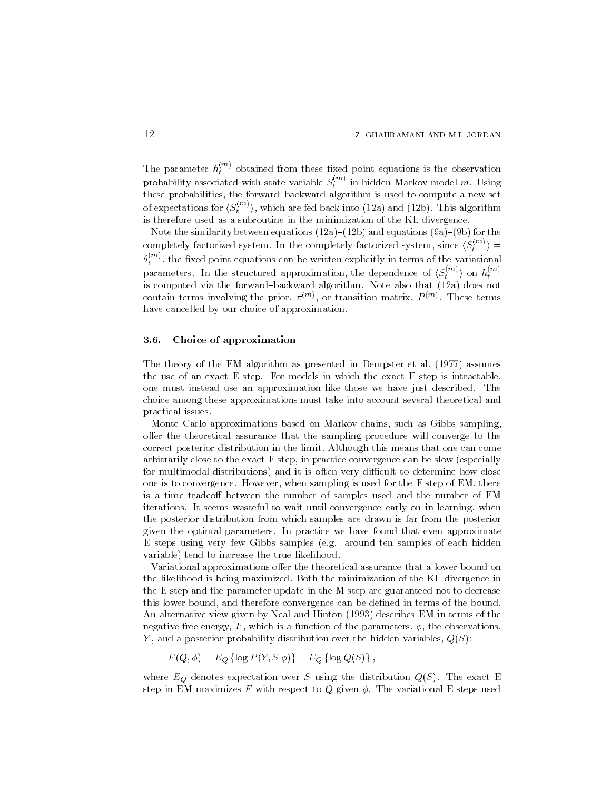The parameter  $h_t^{\rm (m)}$  obtained from these fixed point equations is the observation probability associated with state variable  $S_t^{\ldots}$  in hidden Markov model m. Using the contract of the contract of the contract of the contract of the contract of the contract of the contract of the contract of the contract of the contract of the contract of the contract of the contract of the contract o these probabilities the forwardbackward algorithm is used to compute a new set of expectations for  $\langle S_t^{(m)} \rangle$ , which are fed back into (12a) and (12b). This algorithm is therefore used as a subroutine in the minimization of the KL divergence

Note the similarity between equations a b and equations a b for the completely factorized system. In the completely factorized system, since  $\langle S_t^{(m)} \rangle =$  $\theta_t^{,\cdots}$  , the fixed point equations can be written explicitly in terms of the variational parameters. In the structured approximation, the dependence of  $\langle S_t^{(m)} \rangle$  on  $h_t^{(m)}$ the contract of the contract of the contract of the contract of the contract of the contract of the contract of the contract of the contract of the contract of the contract of the contract of the contract of the contract o is compated via the forward algorithm Note algorithm Note also that  $\mu$  does not not contain terms involving the prior,  $\pi$  m, or transition matrix,  $P$  m, These terms have cancelled by our choice of approximation.

#### Choice of approximation

The theory of the EM algorithm as presented in Dempster et al assumes the use of an exact  $E$  step. For models in which the exact  $E$  step is intractable, one must instead use an approximation like those we have just described The choice among these approximations must take into account several theoretical and practical issues

Monte Carlo approximations based on Markov chains, such as Gibbs sampling offer the theoretical assurance that the sampling procedure will converge to the correct posterior distribution in the limit Although this means that one can come arbitrarily close to the exact E step, in practice convergence can be slow (especially for multimodal distributions and it is often very di-cult to determine how close one is to convergence. However, when sampling is used for the  $E$  step of EM, there is a time tradeoff between the number of samples used and the number of EM iterations. It seems wasteful to wait until convergence early on in learning, when the posterior distribution from which samples are drawn is far from the posterior given the optimal parameters In practice we have found that even approximate E steps using very few Gibbs samples (e.g. around ten samples of each hidden variable) tend to increase the true likelihood.

Variational approximations offer the theoretical assurance that a lower bound on the likelihood is being maximized. Both the minimization of the KL divergence in the E step and the parameter update in the M step are guaranteed not to decrease this lower bound, and therefore convergence can be defined in terms of the bound.  $\mathcal{A}$  and Hinton  $\mathcal{A}$  and Hinton  $\mathcal{A}$  and Hinton  $\mathcal{A}$ negative free energy,  $F$ , which is a function of the parameters,  $\phi$ , the observations, Y, and a posterior probability distribution over the hidden variables,  $Q(S)$ :

$$
F(Q, \phi) = E_Q \left\{ \log P(Y, S | \phi) \right\} - E_Q \left\{ \log Q(S) \right\},\
$$

where  $E_Q$  denotes expectation over S using the distribution  $Q(S)$ . The exact E step in EM maximizes F with respect to Q given  $\phi$ . The variational E steps used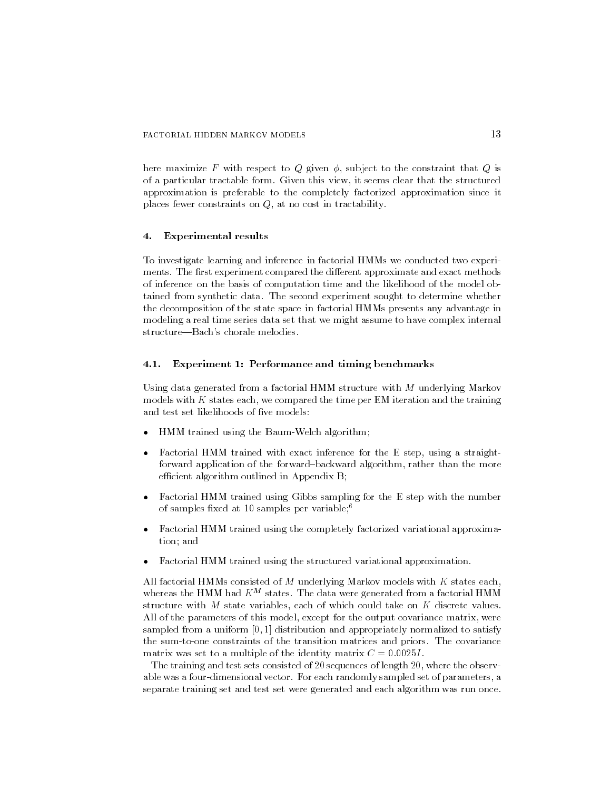here maximize F with respect to Q given  $\phi$ , subject to the constraint that Q is of a particular tractable form. Given this view, it seems clear that the structured approximation is preferable to the completely factorized approximation since it places fewer constraints on  $Q$ , at no cost in tractability.

#### -Experimental results

To investigate learning and inference in factorial HMMs we conducted two experi ments. The first experiment compared the different approximate and exact methods of inference on the basis of computation time and the likelihood of the model ob tained from synthetic data The second experiment sought to determine whether the decomposition of the state space in factorial HMMs presents any advantage in modeling a real time series data set that we might assume to have complex internal structure—Bach's chorale melodies.

#### Experiment 1: Performance and timing benchmarks

Using data generated from a factorial HMM structure with M underlying Markov models with  $K$  states each, we compared the time per EM iteration and the training and test set likelihoods of five models:

- ۰ HMM trained using the Baum-Welch algorithm;
- $\bullet$ Factorial HMM trained with exact inference for the E step, using a straightforward application of the forward-backward algorithm, rather than the more e-cient algorithm outlined in Appendix Based in Appendix Based in Appendix Based in Appendix Based in Appendix
- $\bullet$  Factorial HMM trained using Gibbs sampling for the E step with the number of samples fixed at 10 samples per variable; $6$
- $\bullet$  Factorial HMM trained using the completely factorized variational approxima tion: and
- $\bullet$ Factorial HMM trained using the structured variational approximation

All factorial HMMs consisted of  $M$  underlying Markov models with  $K$  states each, whereas the HMM had  $K^M$  states. The data were generated from a factorial HMM structure with M state variables, each of which could take on  $K$  discrete values. All of the parameters of this model, except for the output covariance matrix, were sampled from a uniform  $[0, 1]$  distribution and appropriately normalized to satisfy the sum-to-one constraints of the transition matrices and priors. The covariance matrix was set to a multiple of the identity matrix  $\mathbf{r}$  and identity matrix  $\mathbf{r}$  and identity matrix  $\mathbf{r}$ 

The training and test sets consisted of 20 sequences of length  $20$ , where the observable was a four-dimensional vector. For each randomly sampled set of parameters, a separate training set and test set were generated and each algorithm was run once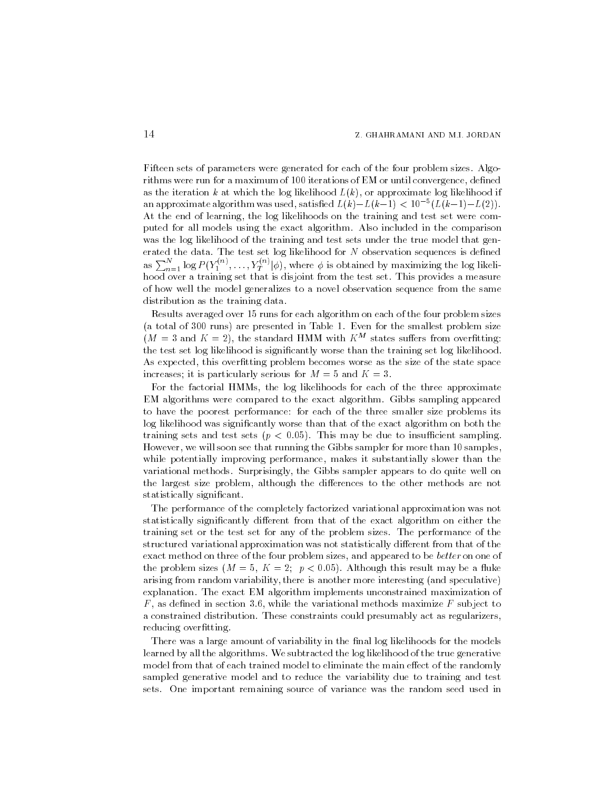Fifteen sets of parameters were generated for each of the four problem sizes Algo rithms were run for a maximum of 100 iterations of EM or until convergence, defined as the iteration k at which the log likelihood  $L(k)$ , or approximate log likelihood if an approximate algorithm was used, satisfied  $L(k)-L(k-1) < 10^{-3}(L(k-1)-L(2))$ . At the end of learning, the log likelihoods on the training and test set were computed for all models using the exact algorithm Also included in the comparison was the log likelihood of the training and test sets under the true model that gen as  $\sum_{n=1}^{N} \log P(Y_1^{(n)},..., Y_T^{(n)} | \phi)$ , where  $\phi$  is obtained by maximizing the log likelihood over a training set that is disjoint from the test set. This provides a measure of how well the model generalizes to a novel observation sequence from the same distribution as the training data

Results averaged over 15 runs for each algorithm on each of the four problem sizes (a total of  $300$  runs) are presented in Table 1. Even for the smallest problem size  $(M = 3$  and  $K = 2)$ , the standard HMM with  $K^M$  states suffers from overfitting: the test set log likelihood is significantly worse than the training set log likelihood. As expected, this overfitting problem becomes worse as the size of the state space increases; it is particularly serious for  $M = 5$  and  $K = 3$ .

For the factorial HMMs, the log likelihoods for each of the three approximate EM algorithms were compared to the exact algorithm Gibbs sampling appeared to have the poorest performance for each of the three smaller size problems its log likelihood was signicantly worse than that of the exact algorithm on both the training sets and test sets  $\mu$  . This may be due to insurance sampling the However, we will soon see that running the Gibbs sampler for more than 10 samples, while potentially improving performance, makes it substantially slower than the variational methods Surprisingly the Gibbs sampler appears to do quite well on the largest size problem, although the differences to the other methods are not statistically significant.

The performance of the completely factorized variational approximation was not statistically significantly different from that of the exact algorithm on either the training set or the test set for any of the problem sizes The performance of the structured variational approximation was not statistically different from that of the exact method on three of the four problem sizes, and appeared to be *better* on one of the problem sizes M K p - Although this result may be a uke arising from random variability, there is another more interesting (and speculative) explanation. The exact EM algorithm implements unconstrained maximization of  $F$ , as defined in section 3.6, while the variational methods maximize  $F$  subject to a constrained distribution. These constraints could presumably act as regularizers, reducing overfitting.

There was a large amount of variability in the final log likelihoods for the models learned by all the algorithms. We subtracted the log likelihood of the true generative model from that of each trained model to eliminate the main effect of the randomly sampled generative model and to reduce the variability due to training and test sets One important remaining source of variance was the random seed used in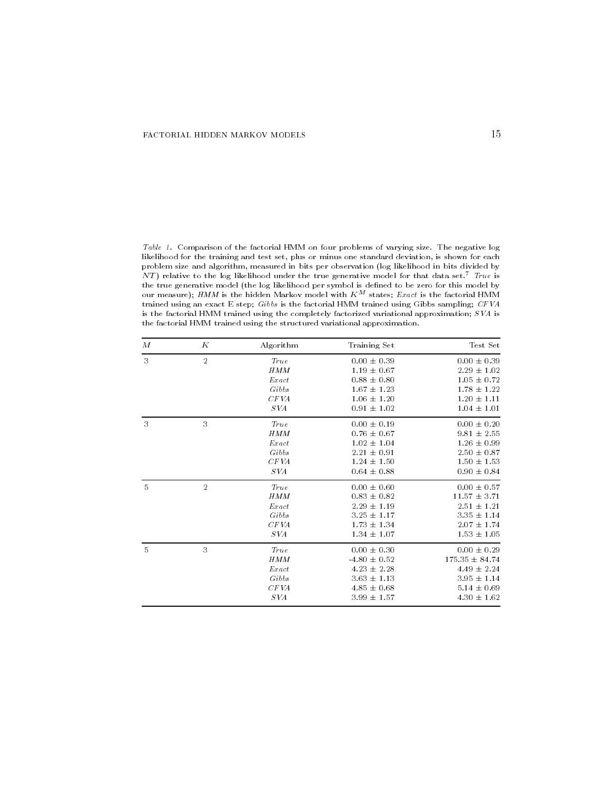Table Comparison of the factorial HMM on four problems of varying size The negative log likelihood for the training and test set, plus or minus one standard deviation, is shown for each problem size and algorithm, measured in bits per observation (log likelihood in bits divided by  $N$  I  $j$  relative to the log likelihood under the true generative model for that data set. True is the true generative model (the log likelihood per symbol is defined to be zero for this model by our measure); HMM is the hidden Markov model with  $K^M$  states; Exact is the factorial HMM trained using an exact E step; Gibbs is the factorial HMM trained using Gibbs sampling; CFVA is the factorial HMM trained using the completely factorized variational approximation;  $SVA$  is the factorial HMM trained using the structured variational approximation

| М              | К              | Algorithm  | Training Set     | Test Set         |
|----------------|----------------|------------|------------------|------------------|
| 3              | $\overline{2}$ | True       | $0.00 \pm 0.39$  | $0.00 \pm 0.39$  |
|                |                | <b>HMM</b> | $1.19 \pm 0.67$  | $2.29 \pm 1.02$  |
|                |                | Exact      | $0.88 \pm 0.80$  | $1.05 \pm 0.72$  |
|                |                | Gibbs      | $1.67 \pm 1.23$  | $1.78 \pm 1.22$  |
|                |                | CF VA      | $1.06 \pm 1.20$  | $1.20 \pm 1.11$  |
|                |                | S VA       | $0.91 \pm 1.02$  | $1.04 \pm 1.01$  |
| 3              | 3              | True       | $0.00 \pm 0.19$  | $0.00 \pm 0.20$  |
|                |                | <b>HMM</b> | $0.76 \pm 0.67$  | $9.81 \pm 2.55$  |
|                |                | Exact      | $1.02 \pm 1.04$  | $1.26 \pm 0.99$  |
|                |                | Gibbs      | $2.21 \pm 0.91$  | $2.50 \pm 0.87$  |
|                |                | CF VA      | $1.24 \pm 1.50$  | $1.50 \pm 1.53$  |
|                |                | S VA       | $0.64 \pm 0.88$  | $0.90 \pm 0.84$  |
| $\overline{5}$ | $\mathbf{2}$   | True       | $0.00 \pm 0.60$  | $0.00 \pm 0.57$  |
|                |                | HMM        | $0.83 \pm 0.82$  | $11.57 \pm 3.71$ |
|                |                | $Ex$ act   | $2.29 \pm 1.19$  | $2.51 \pm 1.21$  |
|                |                | Gibbs      | $3.25 \pm 1.17$  | $3.35 \pm 1.14$  |
|                |                | CF VA      | $1.73 \pm 1.34$  | $2.07 \pm 1.74$  |
|                |                | S VA       | $1.34 \pm 1.07$  | $1.53 \pm 1.05$  |
| 5              | 3              | True       | $0.00 \pm 0.30$  | $0.00 \pm 0.29$  |
|                |                | <b>HMM</b> | $-4.80 \pm 0.52$ | 175.35 ± 84.74   |
|                |                | $Ex$ act   | $4.23 \pm 2.28$  | $4.49 \pm 2.24$  |
|                |                | Gibbs      | $3.63 \pm 1.13$  | $3.95 \pm 1.14$  |
|                |                | CF VA      | $4.85 \pm 0.68$  | $5.14 \pm 0.69$  |
|                |                | S VA       | $3.99 \pm 1.57$  | $4.30 \pm 1.62$  |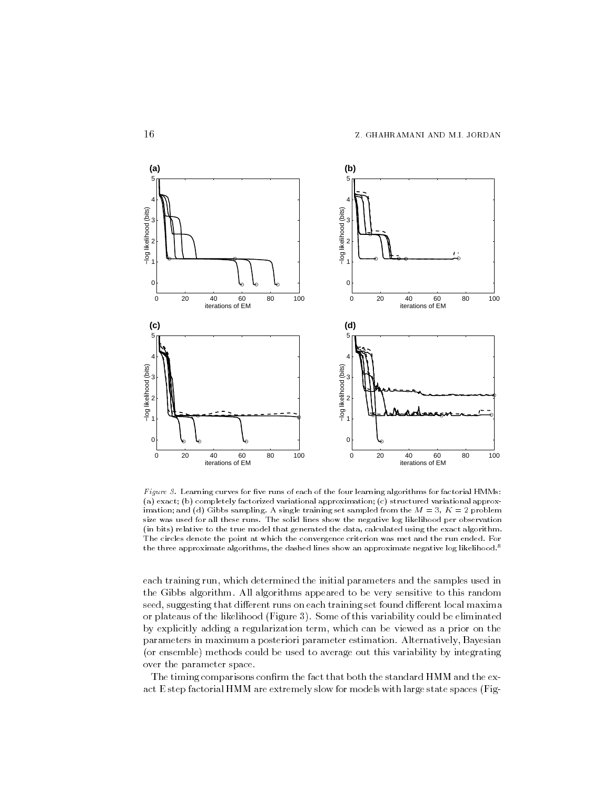

Figure  $\beta$ . Learning curves for five runs of each of the four learning algorithms for factorial HMMs: (a) exact; (b) completely factorized variational approximation; (c) structured variational approx- $\min$  and  $\alpha$  and  $\alpha$  shows sampling. It single training set sampled from the  $M = 0, \, M = 1$  problem size was used the solid lines show the solid lines show the negative log lines was the control to the solid li (in bits) relative to the true model that generated the data, calculated using the exact algorithm. The circles denote the point at which the convergence criterion was met and the run ended For the three approximate algorithms, the dashed lines show an approximate negative log likelihood. I

each training run, which determined the initial parameters and the samples used in the Gibbs algorithm. All algorithms appeared to be very sensitive to this random seed, suggesting that different runs on each training set found different local maxima or plateaus of the likelihood (Figure 3). Some of this variability could be eliminated by explicitly adding a regularization term which can be viewed as a prior on the parameters in maximum a posteriori parameter estimation Alternatively Bayesian (or ensemble) methods could be used to average out this variability by integrating over the parameter space

The timing comparisons confirm the fact that both the standard HMM and the exact E step factorial HMM are extremely slow for models with large state spaces (Fig-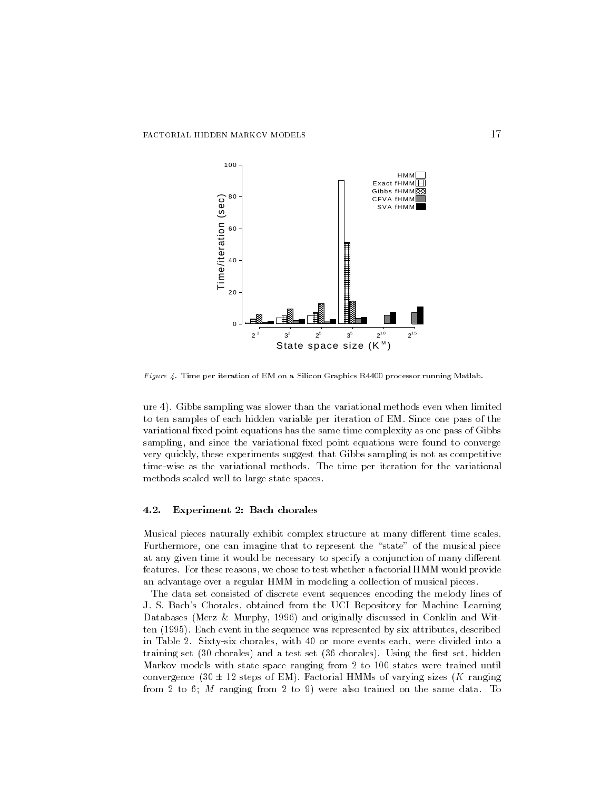

Figure Time per iteration of EM on a Silicon Graphics R processor running Matlab

ure Gibbs sampling was slower than the variational methods even when limited to ten samples of each hidden variable per iteration of EM. Since one pass of the variational fixed point equations has the same time complexity as one pass of Gibbs sampling, and since the variational fixed point equations were found to converge very quickly these experiments suggest that Gibbs sampling is not as competitive time-wise as the variational methods. The time per iteration for the variational methods scaled well to large state spaces

### Experiment 2: Bach chorales

Musical pieces naturally exhibit complex structure at many different time scales. Furthermore, one can imagine that to represent the "state" of the musical piece at any given time it would be necessary to specify a conjunction of many different features. For these reasons, we chose to test whether a factorial HMM would provide an advantage over a regular HMM in modeling a collection of musical pieces

The data set consisted of discrete event sequences encoding the melody lines of J. S. Bach's Chorales, obtained from the UCI Repository for Machine Learning  $\mathbb{R}$  and originally discussed in  $\mathbb{R}$  and  $\mathbb{R}$  and With and With and With and With and With and With and With and With and With and With and With and With and With and With and With and With and With and With ten and the sequence was represented by six attributes described by six attributes described by six attributes in Table 2. Sixty-six chorales, with 40 or more events each, were divided into a training set (30 chorales) and a test set (36 chorales). Using the first set, hidden Markov models with state space ranging from  $2$  to  $100$  states were trained until convergence  $(30 \pm 12$  steps of EM). Factorial HMMs of varying sizes (K ranging  $\mathbf n$  and  $\mathbf n$  ranging from the same data Tomas data Tomas data Tomas data Tomas data Tomas data Tomas data Tomas data Tomas data Tomas data Tomas data Tomas data Tomas data Tomas data Tomas data Tomas data Tomas data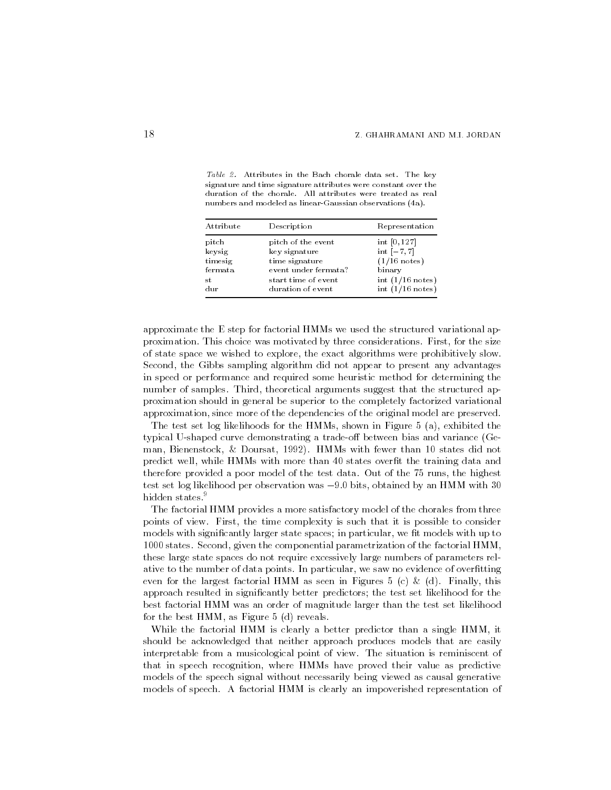Table in the Bach chorale data set of the Bach chorale data set of the Bach chorale data set of the key set of signature and time signature attributes were constant over the numbers and modeled as linear-Gaussian observations (4a).

| Attribute       | Description          | Representation     |
|-----------------|----------------------|--------------------|
| pitch           | pitch of the event   | int [0, 127]       |
| keysig          | key signature        | $int [-7, 7]$      |
| timesig         | time signature       | $(1/16$ notes)     |
| ${\rm fermata}$ | event under fermata? | binary             |
| st              | start time of event  | int $(1/16$ notes) |
| dur             | duration of event    | int $(1/16$ notes) |

approximate the E step for factorial HMMs we used the structured variational ap proximation This choice was motivated by three considerations First for the size of state space we wished to explore, the exact algorithms were prohibitively slow. Second, the Gibbs sampling algorithm did not appear to present any advantages in speed or performance and required some heuristic method for determining the number of samples. Third, theoretical arguments suggest that the structured approximation should in general be superior to the completely factorized variational approximation, since more of the dependencies of the original model are preserved.

The test set log likelihoods for the HMMs, shown in Figure 5 (a), exhibited the typical U-shaped curve demonstrating a trade-off between bias and variance (Geman Bienenstock Doursat alle than an announced a state of the state of the state of the state of the state of predict well, while HMMs with more than 40 states overfit the training data and therefore provided a poor model of the test data. Out of the 75 runs, the highest test set log likelihood per observation was  $-y$ .0 bits, obtained by an HMM with  $\delta 0$ hidden states.<sup>9</sup>

The factorial HMM provides a more satisfactory model of the chorales from three points of view. First, the time complexity is such that it is possible to consider models with significantly larger state spaces; in particular, we fit models with up to  $1000$  states. Second, given the componential parametrization of the factorial  $HMM$ , these large state spaces do not require excessively large numbers of parameters rel ative to the number of data points. In particular, we saw no evidence of overfitting even for the largest factorial HMM as seen in Figures 5 (c) & (d). Finally, this approach resulted in significantly better predictors; the test set likelihood for the best factorial HMM was an order of magnitude larger than the test set likelihood for the best  $HMM$ , as Figure 5 (d) reveals.

While the factorial HMM is clearly a better predictor than a single HMM, it should be acknowledged that neither approach produces models that are easily interpretable from a musicological point of view. The situation is reminiscent of that in speech recognition, where HMMs have proved their value as predictive models of the speech signal without necessarily being viewed as causal generative models of speech A factorial HMM is clearly an impoverished representation of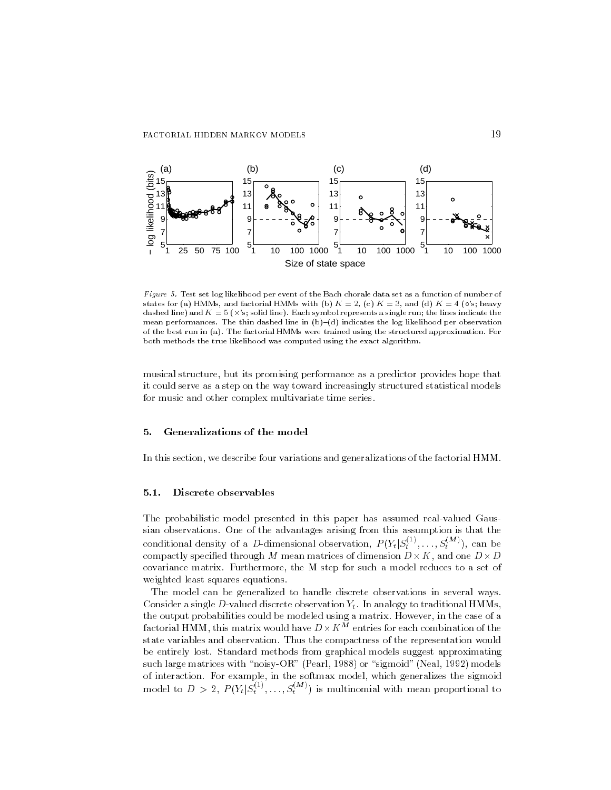

Figure - Test set log likelihood per event of the Bach chorale data set as a function of number of states for (a) HMMs, and factorial HMMs with (b)  $K = 2$ , (c)  $K = 3$ , and (d)  $K = 4$  (o's; heavy dashed line, which is a significant line, which is a single run the lines indicate the lines indicate the line mean performances in bothin dashed line in  $\{a_{j}\}$  in bothing indicates the log per observation of the best run in  $\{n\}$  , which were trained using the structured approximation approximation is a reboth methods the true likelihood was computed using the exact algorithm

musical structure, but its promising performance as a predictor provides hope that it could serve as a step on the way toward increasingly structured statistical models for music and other complex multivariate time series

#### 5. Generalizations of the model

In this section we describe four variations and generalizations of the factorial HMM

## Discrete observables

The probabilistic model presented in this paper has assumed real-valued Gaussian observations. One of the advantages arising from this assumption is that the conditional density of a D-dimensional observation,  $P(Y_t|S_t^{(1)},...,S_t^{(M)})$ , can be compactly specified through M mean matrices of dimension  $D\times K$ , and one  $D\times D$ covariance matrix. Furthermore, the M step for such a model reduces to a set of weighted least squares equations

The model can be generalized to handle discrete observations in several ways Consider a single D-valued discrete observation  $Y_t$ . In analogy to traditional HMMs, factorial HMM, this matrix would have  $D\times K^{\stackrel{\sim}{M}}$  entries for each combination of the state variables and observation Thus the compactness of the representation would be entirely lost Standard methods from graphical models suggest approximating such large matrices with noisyOR Pearl  $\sim$  signors with noisyOR Pearl  $\sim$  signors with noisyOR Pearl  $\sim$ model to  $D > 2$ ,  $P(Y_t | S_t^{(1)}, \ldots, S_t^{(M)})$  is multinomial with mean proportional to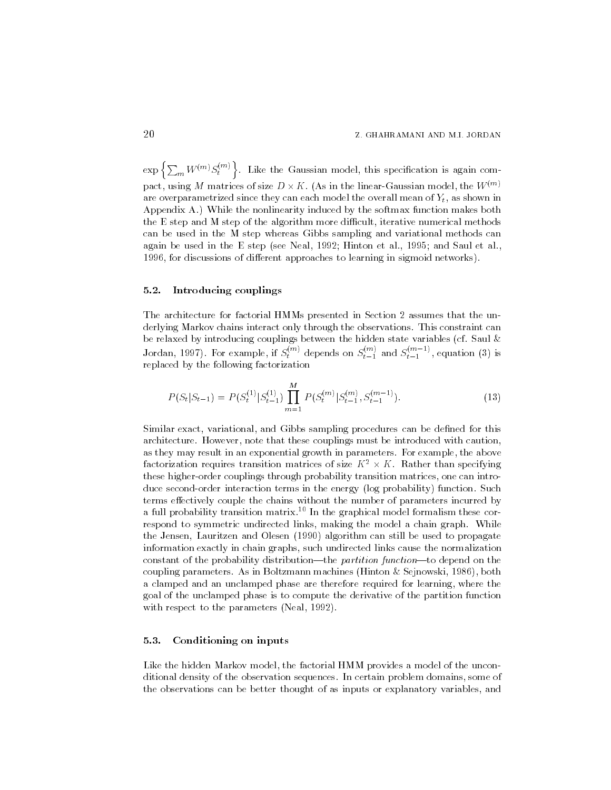$\exp\left\{\sum_{m}W^{(m)}S^{(m)}_t\right\}$ . Like the Gaussian model, this specification is again compact, using M matrices of size  $D \times K$  . (As in the linear-Gaussian model, the  $W^{(m)}$ are overparametrized since they can each model the overall mean of  $Y_t$ , as shown in Appendix A.) While the nonlinearity induced by the softmax function makes both the E step and M step of the algorithm more di-cult iterative numerical methods can be used in the M step whereas Gibbs sampling and variational methods can again be used in the E step see Neal Hinton et al and Saul et al  for discussions of dierent approaches to learning in sigmoid networks

## Introducing couplings

The architecture for factorial HMMs presented in Section 2 assumes that the underlying Markov chains interact only through the observations This constraint can be relaxed by introducing couplings between the hidden state variables (cf. Saul  $\&$ Jordan, 1997). For example, if  $S_t^{(m)}$  depends on  $S_{t-1}^{(m)}$  and  $S_{t-1}^{(m-1)}$ , equation (3) is replaced by the following factorization

$$
P(S_t|S_{t-1}) = P(S_t^{(1)}|S_{t-1}^{(1)}) \prod_{m=1}^{M} P(S_t^{(m)}|S_{t-1}^{(m)}, S_{t-1}^{(m-1)}).
$$
\n(13)

Similar exact, variational, and Gibbs sampling procedures can be defined for this architecture. However, note that these couplings must be introduced with caution, as they may result in an exponential growth in parameters. For example, the above factorization requires transition matrices of size  $K^* \times K$  . Kather than specifying these higher-order couplings through probability transition matrices, one can introduce second-order interaction terms in the energy (log probability) function. Such terms effectively couple the chains without the number of parameters incurred by a full probability transition matrix- In the graphical model formalism these cor respond to symmetric undirected links, making the model a chain graph. While the Jensen Lauritzen and Olesen  $\mathcal{L}$  be used to propagate the propagate to propagate to propagate the propagate of  $\mathcal{L}$ information exactly in chain graphs, such undirected links cause the normalization constant of the probability distribution—the *partition function*—to depend on the coupling parameters As in Boltzmann machines Hinton September 1986 – 1987 – 1988 – 1989 – 1988 – 1988 – 1988 a clamped and an unclamped phase are therefore required for learning, where the goal of the unclamped phase is to compute the derivative of the partition function with respect to the parameters is the parameters

## Conditioning on inputs

Like the hidden Markov model, the factorial HMM provides a model of the unconditional density of the observation sequences In certain problem domains some of the observations can be better thought of as inputs or explanatory variables, and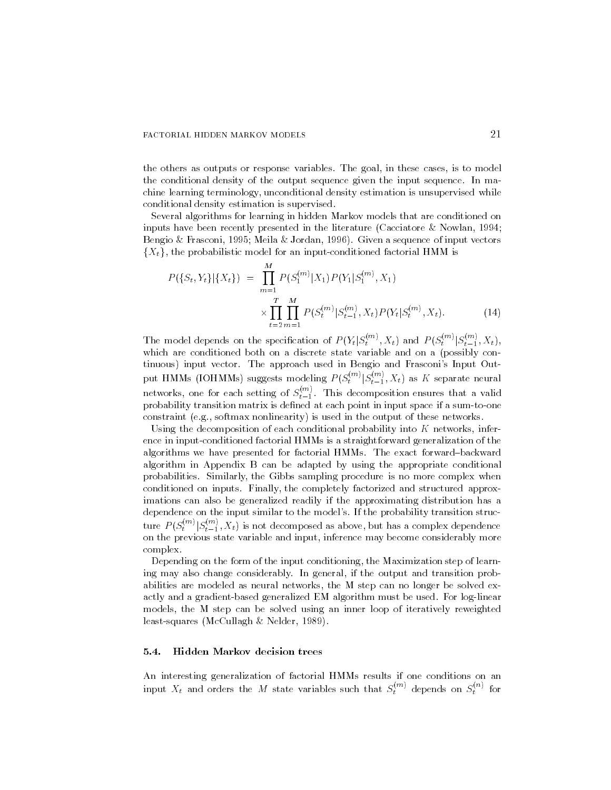## FACTORIAL HIDDEN MARKOV MODELS 21

the others as outputs or response variables The goal in these cases is to model the conditional density of the output sequence given the input sequence In ma chine learning terminology unconditional density estimation is unsupervised while conditional density estimation is supervised

Several algorithms for learning in hidden Markov models that are conditioned on inputs have been recently presented in the literature Cacciatore Nowlan a congre or a roman recent control of input vectors, and in the control of input vectors of induction and input  ${X<sub>t</sub>}$ , the probabilistic model for an input-conditioned factorial HMM is

$$
P(\{S_t, Y_t\}|\{X_t\}) = \prod_{m=1}^{M} P(S_1^{(m)}|X_1) P(Y_1|S_1^{(m)}, X_1)
$$
  

$$
\times \prod_{t=2}^{T} \prod_{m=1}^{M} P(S_t^{(m)}|S_{t-1}^{(m)}, X_t) P(Y_t|S_t^{(m)}, X_t).
$$
 (14)

The model depends on the specification of  $P(Y_t|S_t^{(m)}, X_t)$  and  $P(S_t^{(m)}|S_{t-1}^{(m)}, X_t)$ ,  $\begin{array}{ccc} \iota & \iota & \iota & \iota \end{array}$ which are conditioned both on a discrete state variable and on a possibly continuous) input vector. The approach used in Bengio and Frasconi's Input Output HMMs (IOHMMs) suggests modeling  $P(S_t^{(m)} | S_{t-1}^{(m)}, X_t)$  as K separate neural networks, one for each setting of  $S_{t-1}^{\cdots}$ . This decomposition ensures that a valid probability transition matrix is dened at each point in input space if a sumtoone constraint (e.g., softmax nonlinearity) is used in the output of these networks.

Using the decomposition of each conditional probability into  $K$  networks, inference in input-conditioned factorial HMMs is a straightforward generalization of the algorithms we have presented for factorial HMMs. The exact forward-backward algorithm in Appendix B can be adapted by using the appropriate conditional probabilities Similarly the Gibbs sampling procedure is no more complex when conditioned on inputs. Finally, the completely factorized and structured approximations can also be generalized readily if the approximating distribution has a dependence on the input similar to the model's. If the probability transition structure  $P(S_t^{(m)} | S_{t-1}^{(m)}, X_t^{(m)})$  $t-1 \sim t-1$  ) to the state decomposed as above but has a component dependence of on the previous state variable and input inference may become considerably more complex

Depending on the form of the input conditioning, the Maximization step of learning may also change considerably In general if the output and transition prob abilities are modeled as neural networks, the M step can no longer be solved exactly and a gradient-based generalized EM algorithm must be used. For log-linear models, the M step can be solved using an inner loop of iteratively reweighted leastsquares McCullagh Nelder 

#### Hidden Markov decision trees

An interesting generalization of factorial HMMs results if one conditions on an input  $X_t$  and orders the M state variables such that  $S_t^{***}$  depends on  $S_t^{***}$  for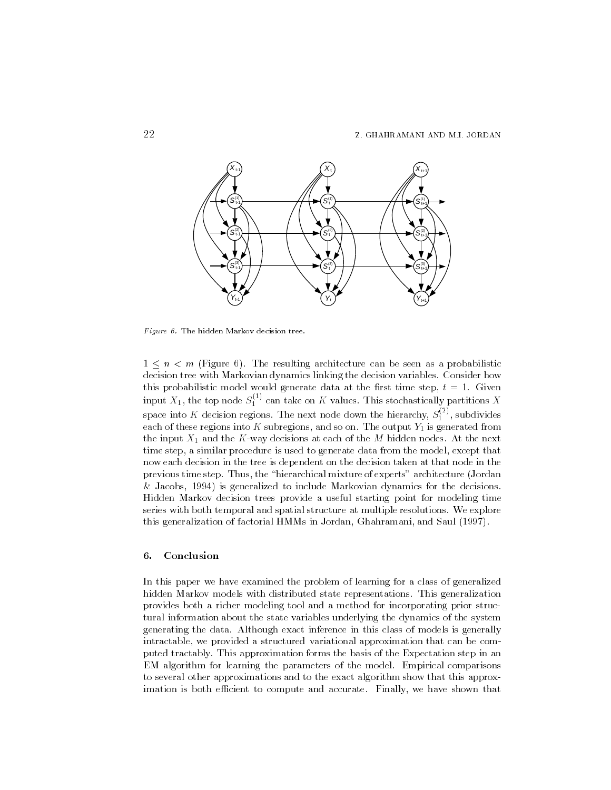

 $Figure\,\,6.$  The hidden Markov decision tree.

 $1 \leq n \leq m$  (Figure 6). The resulting architecture can be seen as a probabilistic decision tree with Markovian dynamics linking the decision variables. Consider how this probabilities model would generate data at the rst time step time step that the rst time step time step t input  $X_1,$  the top node  $S_1^{\times \times}$  can take on K values. This stochastically partitions  $X$ space into K decision regions. The next node down the hierarchy,  $S_1^{\sim\prime}$  , subdivides each of these regions into  $K$  subregions, and so on. The output  $Y_1$  is generated from the input  $X_1$  and the K-way decisions at each of the M hidden nodes. At the next time step, a similar procedure is used to generate data from the model, except that now each decision in the tree is dependent on the decision taken at that node in the previous time step. Thus, the "hierarchical mixture of experts" architecture (Jordan Jacobs is generalized to include Markovian dynamics for the decisions Hidden Markov decision trees provide a useful starting point for modeling time series with both temporal and spatial structure at multiple resolutions. We explore this generalization of factorial HMMs in Jordan Ghahramani and Saul 

#### 6. Conclusion

In this paper we have examined the problem of learning for a class of generalized hidden Markov models with distributed state representations. This generalization provides both a richer modeling tool and a method for incorporating prior struc tural information about the state variables underlying the dynamics of the system generating the data Although exact inference in this class of models is generally intractable, we provided a structured variational approximation that can be computed tractably. This approximation forms the basis of the Expectation step in an EM algorithm for learning the parameters of the model Empirical comparisons to several other approximations and to the exact algorithm show that this approx imation is both e-cient to compute and accurate Finally we have shown that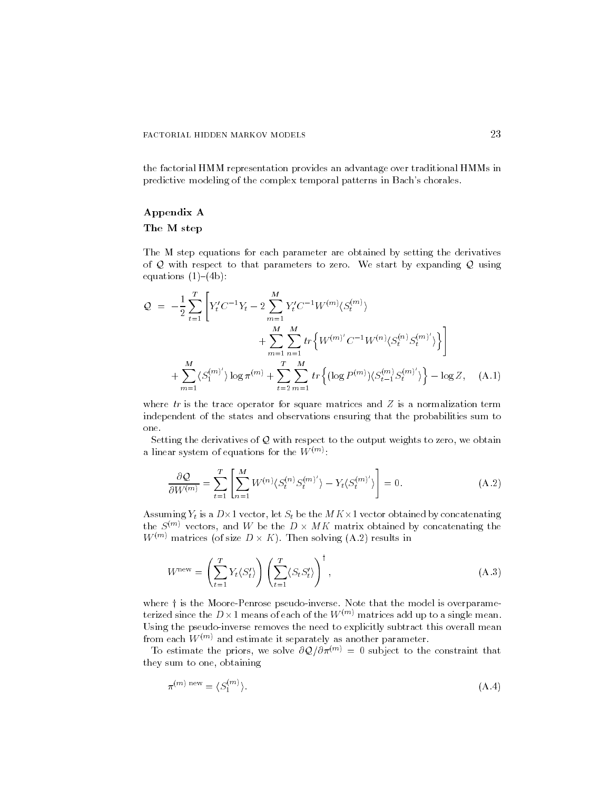the factorial HMM representation provides an advantage over traditional HMMs in predictive modeling of the complex temporal patterns in Bach's chorales.

#### Appendix A

#### The M step

The M step equations for each parameter are obtained by setting the derivatives of  $Q$  with respect to that parameters to zero. We start by expanding  $Q$  using equations  $(1)-(4b)$ :

$$
Q = -\frac{1}{2} \sum_{t=1}^{T} \left[ Y_t' C^{-1} Y_t - 2 \sum_{m=1}^{M} Y_t' C^{-1} W^{(m)} \langle S_t^{(m)} \rangle + \sum_{m=1}^{M} \sum_{n=1}^{M} tr \left\{ W^{(m)'} C^{-1} W^{(n)} \langle S_t^{(n)} S_t^{(m)'} \rangle \right\} \right] + \sum_{m=1}^{M} \langle S_1^{(m)'} \rangle \log \pi^{(m)} + \sum_{t=2}^{T} \sum_{m=1}^{M} tr \left\{ (\log P^{(m)}) \langle S_{t-1}^{(m)} S_t^{(m)'} \rangle \right\} - \log Z, \quad (A.1)
$$

where  $tr$  is the trace operator for square matrices and  $Z$  is a normalization term independent of the states and observations ensuring that the probabilities sum to one

Setting the derivatives of  $Q$  with respect to the output weights to zero, we obtain a linear system of equations for the  $W^{\otimes n}$  .

$$
\frac{\partial \mathcal{Q}}{\partial W^{(m)}} = \sum_{t=1}^{T} \left[ \sum_{n=1}^{M} W^{(n)} \langle S_t^{(n)} S_t^{(m)'} \rangle - Y_t \langle S_t^{(m)'} \rangle \right] = 0. \tag{A.2}
$$

Assuming  $Y_t$  is a  $D\times 1$  vector, let  $S_t$  be the M K  $\times 1$  vector obtained by concatenating the  $S^{(m)}$  vectors, and W be the  $D\times M$ K matrix obtained by concatenating the  $W^{(m)}$  matrices (of size  $D \times K$ ). Then solving (A.2) results in

$$
W^{\text{new}} = \left(\sum_{t=1}^{T} Y_t \langle S'_t \rangle \right) \left(\sum_{t=1}^{T} \langle S_t S'_t \rangle \right)^{\dagger}, \tag{A.3}
$$

where  $\dagger$  is the Moore-Penrose pseudo-inverse. Note that the model is overparameterized since the  $D\times 1$  means of each of the  $W^{(m)}$  matrices add up to a single mean. Using the pseudo-inverse removes the need to explicitly subtract this overall mean from each  $W^{(m)}$  and estimate it separately as another parameter.

To estimate the priors, we solve  $\partial \mathcal{Q}/\partial \pi^{(m)} = 0$  subject to the constraint that they sum to one, obtaining

$$
\pi^{(m) \text{ new}} = \langle S_1^{(m)} \rangle. \tag{A.4}
$$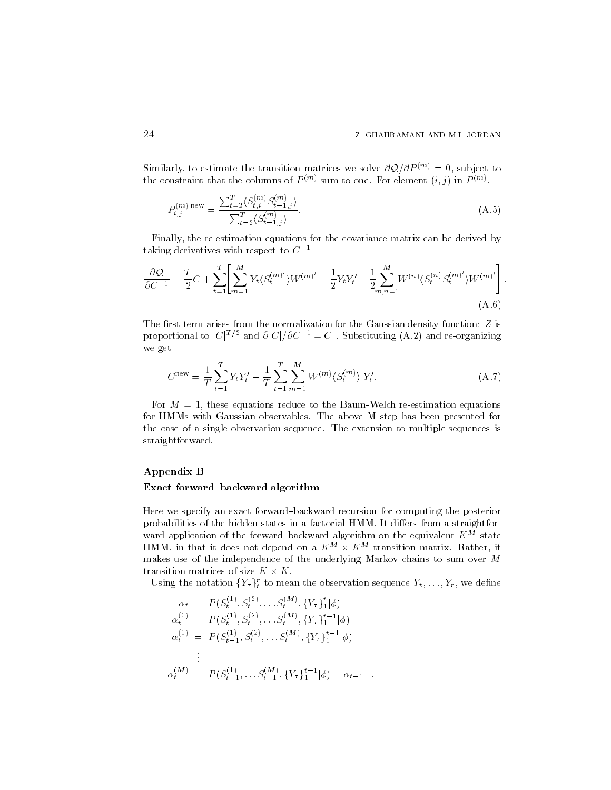# Z GHAHRAMANI AND MI JORDAN

Similarly, to estimate the transition matrices we solve  $\partial \mathcal{Q}/\partial P^{(m)}=0$ , subject to the constraint that the columns of  $P$  m sum to one. For element  $(i, j)$  in  $P$  m

$$
P_{i,j}^{(m) \text{ new}} = \frac{\sum_{t=2}^{T} \langle S_{t,i}^{(m)} S_{t-1,j}^{(m)} \rangle}{\sum_{t=2}^{T} \langle S_{t-1,j}^{(m)} \rangle}.
$$
\n(A.5)

Finally, the re-estimation equations for the covariance matrix can be derived by taking derivatives with respect to  $C^{-\frac{1}{\epsilon}}$ 

$$
\frac{\partial \mathcal{Q}}{\partial C^{-1}} = \frac{T}{2}C + \sum_{t=1}^{T} \left[ \sum_{m=1}^{M} Y_t \langle S_t^{(m)'} \rangle W^{(m)'} - \frac{1}{2} Y_t Y_t' - \frac{1}{2} \sum_{m,n=1}^{M} W^{(n)} \langle S_t^{(n)} S_t^{(m)'} \rangle W^{(m)'} \right].
$$
\n(A.6)

The first term arises from the normalization for the Gaussian density function:  $Z$  is proportional to  $|C|^{T/2}$  and  $\partial |C|/\partial C^{-1} = C$ . Substituting (A.2) and re-organizing we get we get  $\mathcal{F}$  and  $\mathcal{F}$ 

$$
C^{\text{new}} = \frac{1}{T} \sum_{t=1}^{T} Y_t Y_t' - \frac{1}{T} \sum_{t=1}^{T} \sum_{m=1}^{M} W^{(m)} \langle S_t^{(m)} \rangle Y_t'. \tag{A.7}
$$

For  $M = 1$ , these equations reduce to the Baum-Welch re-estimation equations for HMMs with Gaussian observables. The above M step has been presented for the case of a single observation sequence The extension to multiple sequences is straightforward

### Appendix B

#### Exact forward-backward algorithm

Here we specify an exact forward-backward recursion for computing the posterior probabilities of the hidden states in a factorial HMM. It differs from a straightforward application of the forward-backward algorithm on the equivalent  $K^{\tilde{M}}$  state HMM, in that it does not depend on a  $K^m \times K^m$  transition matrix. Rather, it makes use of the independence of the underlying Markov chains to sum over M transition matrices of size  $K \times K$  .

Using the notation  $\{Y_\tau\}_{t}^r$  to mean the observation sequence  $Y_t,\ldots,Y_r,$  we define

$$
\alpha_t = P(S_t^{(1)}, S_t^{(2)}, \dots S_t^{(M)}, \{Y_\tau\}_1^t | \phi)
$$
  
\n
$$
\alpha_t^{(0)} = P(S_t^{(1)}, S_t^{(2)}, \dots S_t^{(M)}, \{Y_\tau\}_1^{t-1} | \phi)
$$
  
\n
$$
\alpha_t^{(1)} = P(S_{t-1}^{(1)}, S_t^{(2)}, \dots S_t^{(M)}, \{Y_\tau\}_1^{t-1} | \phi)
$$
  
\n:  
\n:  
\n
$$
\alpha_t^{(M)} = P(S_{t-1}^{(1)}, \dots S_{t-1}^{(M)}, \{Y_\tau\}_1^{t-1} | \phi) = \alpha_{t-1} .
$$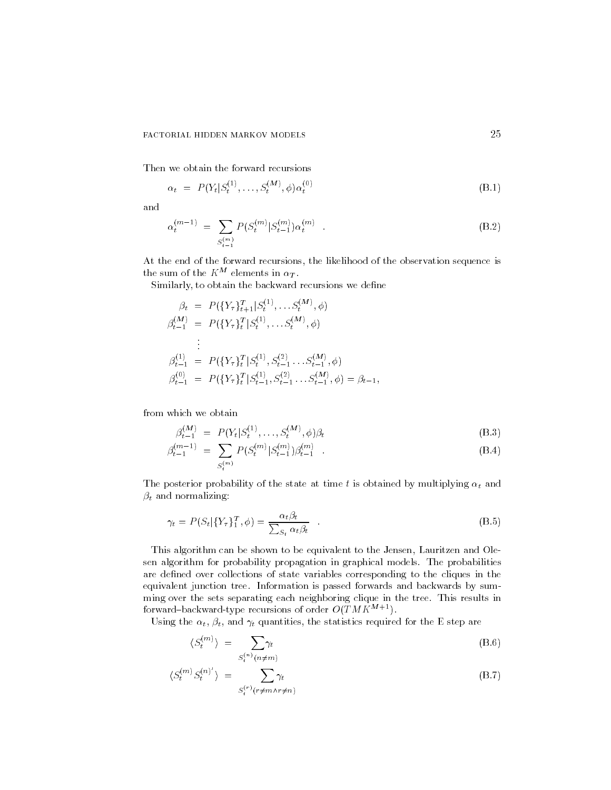Then we obtain the forward recursions

$$
\alpha_t = P(Y_t | S_t^{(1)}, \dots, S_t^{(M)}, \phi) \alpha_t^{(0)}
$$
\n(B.1)

and

$$
\alpha_t^{(m-1)} = \sum_{S_{t-1}^{(m)}} P(S_t^{(m)} | S_{t-1}^{(m)}) \alpha_t^{(m)} \quad . \tag{B.2}
$$

At the end of the forward recursions the likelihood of the observation sequence is the sum of the  $K^M$  elements in  $\alpha_T$ .

Similarly, to obtain the backward recursions we define

$$
\beta_t = P(\lbrace Y_{\tau} \rbrace_{t+1}^T | S_t^{(1)}, \dots S_t^{(M)}, \phi)
$$
  
\n
$$
\beta_{t-1}^{(M)} = P(\lbrace Y_{\tau} \rbrace_t^T | S_t^{(1)}, \dots S_t^{(M)}, \phi)
$$
  
\n
$$
\vdots
$$
  
\n
$$
\beta_{t-1}^{(1)} = P(\lbrace Y_{\tau} \rbrace_t^T | S_t^{(1)}, S_{t-1}^{(2)} \dots S_{t-1}^{(M)}, \phi)
$$
  
\n
$$
\beta_{t-1}^{(0)} = P(\lbrace Y_{\tau} \rbrace_t^T | S_{t-1}^{(1)}, S_{t-1}^{(2)} \dots S_{t-1}^{(M)}, \phi) = \beta_{t-1},
$$

from which we obtain

$$
\beta_{t-1}^{(M)} = P(Y_t | S_t^{(1)}, \dots, S_t^{(M)}, \phi) \beta_t \tag{B.3}
$$

$$
\beta_{t-1}^{(m-1)} = \sum_{S_t^{(m)}} P(S_t^{(m)} | S_{t-1}^{(m)}) \beta_{t-1}^{(m)} . \tag{B.4}
$$

The posterior probability of the state at time t is obtained by multiplying  $\alpha_t$  and  $\beta_t$  and normalizing:

$$
\gamma_t = P(S_t | \{Y_\tau\}_{1}^T, \phi) = \frac{\alpha_t \beta_t}{\sum_{S_t} \alpha_t \beta_t} \quad . \tag{B.5}
$$

This algorithm can be shown to be equivalent to the Jensen, Lauritzen and Olesen algorithm for probability propagation in graphical models. The probabilities are defined over collections of state variables corresponding to the cliques in the equivalent junction tree. Information is passed forwards and backwards by summing over the sets separating each neighboring clique in the tree This results in forward-backward-type recursions of order  $O(TMK^{M+1})$ .

Using the  $\alpha_t$ ,  $\beta_t$ , and  $\gamma_t$  quantities, the statistics required for the E step are

$$
\langle S_t^{(m)} \rangle = \sum_{S_t^{(n)}(n \neq m)} \gamma_t \tag{B.6}
$$

$$
\langle S_t^{(m)} S_t^{(n)'} \rangle = \sum_{S_t^{(r)}(r \neq m \land r \neq n)} \gamma_t
$$
 (B.7)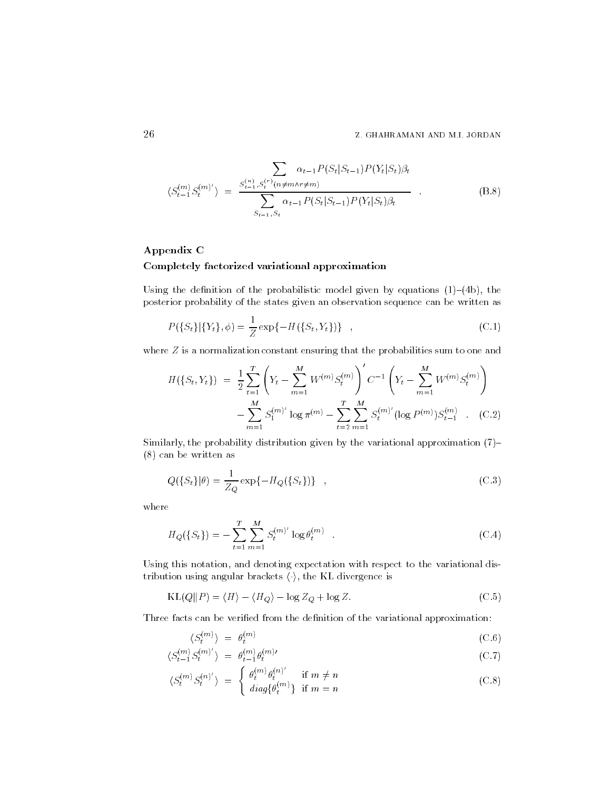$$
\langle S_{t-1}^{(m)} S_t^{(m)'} \rangle = \frac{\sum_{s_{t-1}^{(n)}, S_t^{(r)}(n \neq m \land r \neq m)} \alpha_{t-1} P(S_t | S_{t-1}) P(Y_t | S_t) \beta_t}{\sum_{s_{t-1}, S_t} \alpha_{t-1} P(S_t | S_{t-1}) P(Y_t | S_t) \beta_t} \tag{B.8}
$$

# Appendix C Completely factorized variational approximation

Using the definition of the probabilistic model given by equations  $(1)-(4b)$ , the posterior probability of the states given an observation sequence can be written as

$$
P({St}|{Yt}, \phi) = \frac{1}{Z} \exp{-H({St, Yt})}
$$
\n(C.1)

where Z is a normalization constant ensuring that the probabilities sum to one and

$$
H(\lbrace S_t, Y_t \rbrace) = \frac{1}{2} \sum_{t=1}^{T} \left( Y_t - \sum_{m=1}^{M} W^{(m)} S_t^{(m)} \right)' C^{-1} \left( Y_t - \sum_{m=1}^{M} W^{(m)} S_t^{(m)} \right)
$$

$$
- \sum_{m=1}^{M} S_1^{(m)'} \log \pi^{(m)} - \sum_{t=2}^{T} \sum_{m=1}^{M} S_t^{(m)'} (\log P^{(m)}) S_{t-1}^{(m)} \quad . \quad \text{(C.2)}
$$

Similarly, the probability distribution given by the variational approximation  $(7)$ - $(8)$  can be written as

$$
Q(\{S_t\}|\theta) = \frac{1}{Z_Q} \exp\{-H_Q(\{S_t\})\} \quad , \tag{C.3}
$$

where

$$
H_Q(\{S_t\}) = -\sum_{t=1}^T \sum_{m=1}^M S_t^{(m)'} \log \theta_t^{(m)} \quad . \tag{C.4}
$$

Using this notation, and denoting expectation with respect to the variational distribution using angular brackets  $\langle \cdot \rangle$ , the KL divergence is

$$
KL(Q||P) = \langle H \rangle - \langle H_Q \rangle - \log Z_Q + \log Z.
$$
 (C.5)

Three facts can be verified from the definition of the variational approximation:

$$
\langle S_t^{(m)} \rangle = \theta_t^{(m)} \tag{C.6}
$$

$$
\langle S_{t-1}^{(m)} S_t^{(m)'} \rangle = \theta_{t-1}^{(m)} \theta_t^{(m)'} \tag{C.7}
$$

$$
\langle S_t^{(m)} S_t^{(n)'} \rangle = \begin{cases} \theta_t^{(m)} \theta_t^{(n)'} & \text{if } m \neq n \\ diag\{\theta_t^{(m)}\} & \text{if } m = n \end{cases}
$$
 (C.8)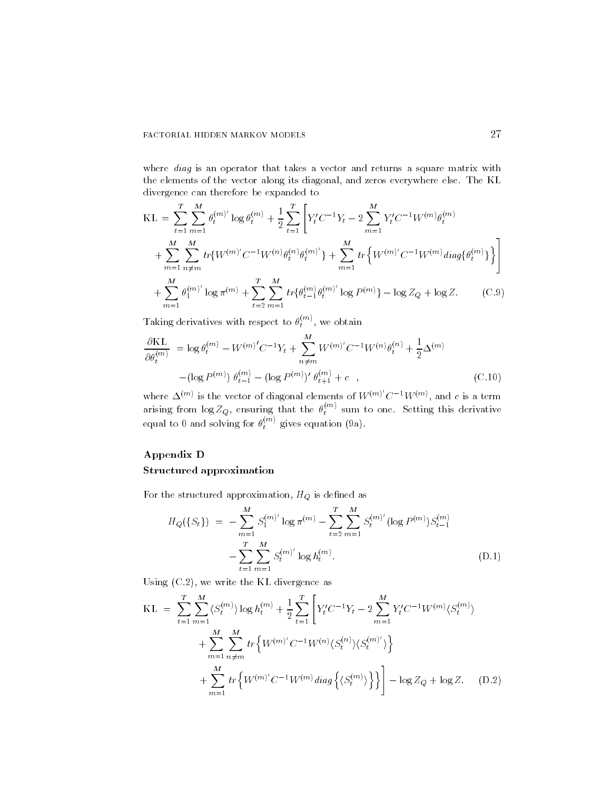where *diag* is an operator that takes a vector and returns a square matrix with the elements of the vector along its diagonal, and zeros everywhere else. The KL divergence can therefore be expanded to

$$
KL = \sum_{t=1}^{T} \sum_{m=1}^{M} \theta_t^{(m)'} \log \theta_t^{(m)} + \frac{1}{2} \sum_{t=1}^{T} \left[ Y_t' C^{-1} Y_t - 2 \sum_{m=1}^{M} Y_t' C^{-1} W^{(m)} \theta_t^{(m)} + \sum_{m=1}^{M} \sum_{n \neq m}^{M} tr \{ W^{(m)'} C^{-1} W^{(n)} \theta_t^{(n)} \} + \sum_{m=1}^{M} tr \left\{ W^{(m)'} C^{-1} W^{(m)} \, \text{diag} \{ \theta_t^{(m)} \} \right\} \right] + \sum_{m=1}^{M} \theta_1^{(m)'} \log \pi^{(m)} + \sum_{t=2}^{T} \sum_{m=1}^{M} tr \{ \theta_{t-1}^{(m)} \theta_t^{(m)'} \log P^{(m)} \} - \log Z_Q + \log Z. \tag{C.9}
$$

Taking derivatives with respect to  $\theta_t^{\scriptscriptstyle \vee\cdots\vee},$  we obtain

$$
\frac{\partial \text{KL}}{\partial \theta_t^{(m)}} = \log \theta_t^{(m)} - W^{(m)'} C^{-1} Y_t + \sum_{n \neq m}^{M} W^{(m)'} C^{-1} W^{(n)} \theta_t^{(n)} + \frac{1}{2} \Delta^{(m)}
$$

$$
- (\log P^{(m)}) \theta_{t-1}^{(m)} - (\log P^{(m)})' \theta_{t+1}^{(m)} + c \quad , \tag{C.10}
$$

where  $\Delta^{(m)}$  is the vector of diagonal elements of  $W^{(m)}$   $C^{-1}W^{(m)}$ , and c is a term arising from  $\log Z_Q$ , ensuring that the  $\theta_t^{***}$  sum to one. Setting this derivative equal to 0 and solving for  $\theta_t^{\text{max}}$  gives equation (9a).

# Appendix D

# Structured approximation

For the structured approximation,  $H_Q$  is defined as

$$
H_Q(\{S_t\}) = -\sum_{m=1}^{M} S_1^{(m)'} \log \pi^{(m)} - \sum_{t=2}^{T} \sum_{m=1}^{M} S_t^{(m)'} (\log P^{(m)}) S_{t-1}^{(m)}
$$

$$
- \sum_{t=1}^{T} \sum_{m=1}^{M} S_t^{(m)'} \log h_t^{(m)}.
$$
(D.1)

Using  $(C.2)$ , we write the KL divergence as

$$
KL = \sum_{t=1}^{T} \sum_{m=1}^{M} \langle S_t^{(m)} \rangle \log h_t^{(m)} + \frac{1}{2} \sum_{t=1}^{T} \left[ Y_t' C^{-1} Y_t - 2 \sum_{m=1}^{M} Y_t' C^{-1} W^{(m)} \langle S_t^{(m)} \rangle \right] + \sum_{m=1}^{M} \sum_{n \neq m}^{M} tr \left\{ W^{(m)} C^{-1} W^{(n)} \langle S_t^{(n)} \rangle \langle S_t^{(m)} \rangle \right\} + \sum_{m=1}^{M} tr \left\{ W^{(m)} C^{-1} W^{(m)} diag \left\{ \langle S_t^{(m)} \rangle \right\} \right\} - \log Z_Q + \log Z. \quad (D.2)
$$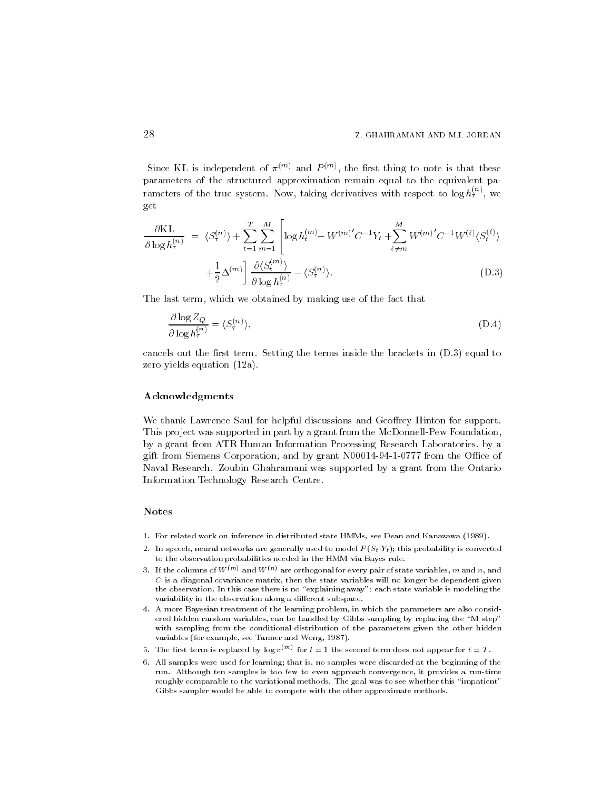Since KL is independent of  $\pi$  and  $P$  m, the first thing to note is that these parameters of the structured approximation remain equal to the equivalent pa rameters of the true system. Now, taking derivatives with respect to log  $h_i^{\text{max}}$ , we get

$$
\frac{\partial \mathrm{KL}}{\partial \log h_{\tau}^{(n)}} = \langle S_{\tau}^{(n)} \rangle + \sum_{t=1}^{T} \sum_{m=1}^{M} \left[ \log h_{t}^{(m)} - W^{(m)'} C^{-1} Y_{t} + \sum_{\ell \neq m}^{M} W^{(m)'} C^{-1} W^{(\ell)} \langle S_{t}^{(\ell)} \rangle \right] + \frac{1}{2} \Delta^{(m)} \left[ \frac{\partial \langle S_{t}^{(m)} \rangle}{\partial \log h_{\tau}^{(n)}} - \langle S_{\tau}^{(n)} \rangle \right]. \tag{D.3}
$$

The last term, which we obtained by making use of the fact that

 $\mathbf{r}$  and  $\mathbf{r}$  and  $\mathbf{r}$  and  $\mathbf{r}$ 

$$
\frac{\partial \log Z_Q}{\partial \log h_\tau^{(n)}} = \langle S_\tau^{(n)} \rangle,\tag{D.4}
$$

cancels out the first term. Setting the terms inside the brackets in  $(D.3)$  equal to zero yields equation  $(12a)$ .

### Acknowledgments

We thank Lawrence Saul for helpful discussions and Geoffrey Hinton for support. This project was supported in part by a grant from the McDonnell-Pew Foundation, by a grant from ATR Human Information Processing Research Laboratories by a give corporation and corporation and by grant Norwegian and because the O-C Naval Research. Zoubin Ghahramani was supported by a grant from the Ontario Information Technology Research Centre

# **Notes**

- For related work on inference in distributed state HMMs see Dean and Kanazawa
- In speech neural networks are generally used to model <sup>P</sup> StjYt this probability is converted to the observation probabilities needed in the HMM via Bayes rule
- 3. If the columns of W  $\mathbb{W}$  and W  $\mathbb{W}$  are orthogonal for every pair of state variables,  $m$  and  $n,$  and  $C$  is a diagonal covariance matrix, then the state variables will no longer be dependent given the observation In this case there is no explaining away each state variable is modeling the variability in the observation along a different subspace.
- A more Bayesian treatment of the learning problem in which the parameters are also considered are also considered are also considered as  $\mathbb{R}$ ered hidden random variables, can be handled by Gibbs sampling by replacing the "M step" with sampling from the conditional distribution of the parameters given the other hidden variables (for example, see Tanner and Wong, 1987).
- $\sigma$ . The first term is replaced by log  $\pi$   $\cdots$  for  $t=1$  the second term does not appear for  $t=1$  .
- All samples were used for learning that is no samples were discarded at the beginning of the beginning of the beginning of the beginning of the beginning of the beginning of the beginning of the beginning of the beginning run Although ten samples is too few to even approach convergence it provides a runtime roughly comparable to the variational methods The goal was to see whether this impatient Gibbs sampler would be able to compete with the other approximate methods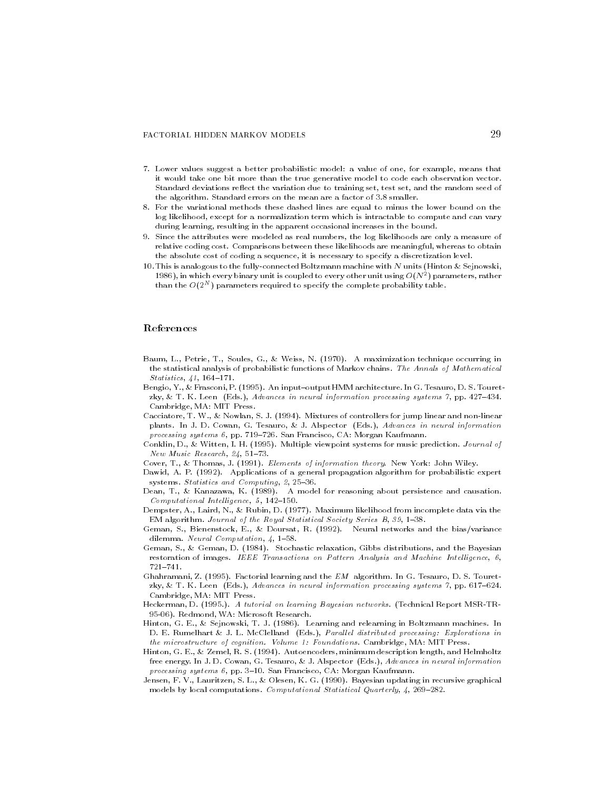#### FACTORIAL HIDDEN MARKOV MODELS

- Lower values suggest a better probabilistic model a value of one for example means that it would take one bit more than the true generative model to code each observation vector Standard deviations reflect the variation due to training set, test set, and the random seed of ... algorithms a factor of the mean are a factor of the mean are an are algorithment
- For the variational methods these dashed lines are equal to minus the lower bound on the log likelihood, except for a normalization term which is intractable to compute and can vary during learning, resulting in the apparent occasional increases in the bound.
- Since the attributes were modeled as real numbers the log likelihoods are only a measure of relative coding cost Comparisons between these likelihoods are meaningful whereas to obtain the absolute cost of coding a sequence it is necessary to specify a discretization level
- This is analogous to the fullyconnected Boltzmann machine with <sup>N</sup> units Hinton ! Sejnowski 1980), in which every binary unit is coupled to every other unit using O(IVF) parameters, rather than the  $O(2^N)$  parameters required to specify the complete probability table.

#### References

- Baum L Petrie T Soules G ! Weiss N A maximization technique occurring in the statistical analysis of probabilistic functions of Markov chains The Annals of Mathematical statistics, we see the statistics
- Bengio Y ! Frasconi P An inputoutputHMM architecture In G Tesauro D S Touret zky ! T K Leen Eds Advances in neural information processing systems  pp Cambridge, MA: MIT Press.
- Cacciatore T W ! Nowlan S J Mixtures of controllers for jump linear and nonlinear plants in Indian Group and the Section of the County of the Company of the County of the County of the County of processing systems pp San Francisco CA Morgan Kaufmann
- discussion in the multiple viewpoint system in the multiple viewpoint of the music prediction of the music pre New Music Research and the search of the search of the search of the search of the search of the search of the
- recent representation that the information of information theory is recent recent community.
- , and a general propagations of a general propagation algorithm for probabilities in the complete systems statistics and statified and provide the station
- dean Territoria Kanada Kanada Kanada Kanada Kanada Kanada Kanada Kanada Kanada Kanada Kanada Kanada Kanada Kan Computational Intel ligence -
- demokraties A incomplete data via the Maximum likelihood from incomplete data via the second from incomplete d EM algorithm Journal of the Royal Statistical Society Series B
- geman September September Roman September 2007, September 2008 and the biasty continues and computer and computation and computation of the computation of the computation of the computation of the c
- Geman S ! Geman D Stochastic relaxation Gibbs distributions and the Bayesian restoration of images IEEE Transactions on Pattern Analysis and Machine Intel ligence  $721 - 741.$
- ghamani algorithm and the EM algorithm and the EM algorithm and the Empire and the Empire of the Empire aay is alaal waar (waal) isalaala in new algorination processing systems if ppi sal awal Cambridge, MA: MIT Press.
- Heckerman D A tutorial on learning Bayesian networks Technical Report MSRTR 95-06). Redmond. WA: Microsoft Research. -- -- -Redmond WA Microsoft Research
- Hinton G E ! Sejnowski T J Learning and relearning in Boltzmann machines In D E Rumelhart ! J L McClelland Eds Paral lel distributed processing
Explorations in the microstructure of cognitions of contractions and volume  $\mathcal{F}_{\mathbf{q}}$
- Hinton G E ! Zemel R S Autoencoders minimum description length and Helmholtz free energy In J D Cowan G Tesauro ! J Alspector Eds Advances in neural information processing systems pp San Francisco CA Morgan Kaufmann
- Jensen F V Lauritzen S L ! Olesen K G Bayesian updating in recursive graphical models by local computations Computational Statistical Quarterly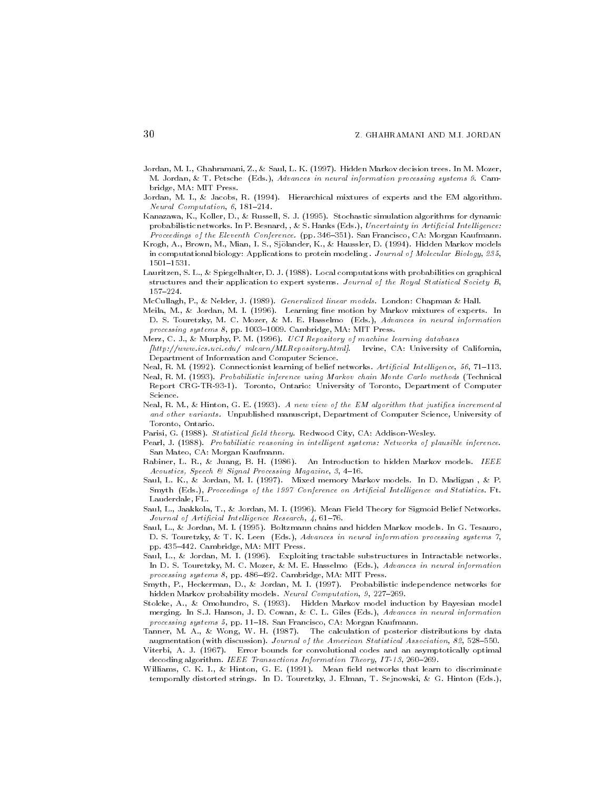- Jordan M I Ghahramani Z ! Saul L K Hidden Markov decision trees In M Mozer M Jordan ! T Petsche Eds Advances in neural information processing systems Cam bridge. MA: MIT Press. bridge manner where we have a
- , it was to all the experiment of the EM algorithment construction and the EM algorithment and the EM algorithment Neural Computation, 6, 181-214.
- is the college Kanazawa Kanazawa Kanazawa Kulturalis (1989) algorithms for dynamics and the collection of the c probabilistic networks are the set of the set of the set of the set of the set of the set of the set of the set Proceedings of the Eleventh Conference pp San Francisco CA Morgan Kaufmann
- Krogh A Brown M Mian I S Sj"olander K ! Haussler D Hidden Markov models in computational biology Applications to protein modelling to the Holes Molecular Biology - 1999, 1999, 1999,  $1501 - 1531.$
- Lauritzen Schweizer Schweizer Der Deutschen Spiegelhalter Der Deutschen Spiegeleiten der Bergeleiten der Deuts structures and their application to expert systems Journal of the Royal Statistical Society B  $157 - 224$ .
- McCullagh P ! Nelder J Generalized linear models London Chapman ! Hall
- mental mellion and many many and many mixtures of experiences of experiences of experiences are an de se touretzky met de se touretzky met de se touretzky met de se touret de se touret de se touret de se tour processing systems pp Cambridge MA MIT Press
- Merz C J ! Murphy P M UCI Repository of machine learning databases
- , we want the contract measurement of the contract of contract of California and California and California and Department of Information and Computer Science
- Neal R M Connectionist learning of belief networks Articial Intel ligence -
- neal rooms in ference assumed using Markov chain Markov chains Technical Markov in Technical Carlos Markov Car Report CRGTR Toronto Ontario University of Toronto Department of Computer
- Neal Reserves in the EM algorithm that is a new view of the EM algorithm that is a strong of the EM algorithm t and other variants. Unpublished manuscript. Department of Computer Science. University of and other variants Unpublished manuscript Department of Computer Science University of Toronto, Ontario.
- r arisi Gallery Caroline (City Caroline City) and City Caroline arising the component of the strong o

processing systems by pprocess and communicating mass excess a second

- . Probabilistic reasons in intelligent systems of the control intelligent systems of plantices of plantices San Mateo, CA: Morgan Kaufmann.
- Rabiner L R ! Juang B H An Introduction to hidden Markov models IEEE Acoustics, Speech & Signal Processing Magazine, 3, 4-16.
- Saul L K ! Jordan M I Mixed memory Markov models In D Madigan ! P smyth (Harticle of the Conference) and Articial Intel Ligence and Statistics and Statistics and Statistics and Lauderdale, FL.
- Saul L Jaakkola T ! Jordan M I Mean Field Theory for Sigmoid Belief Networks Journal of Articial Intel ligence Research
- Saul L ! Jordan M I Boltzmann chains and hidden Markov models In G Tesauro a touret and the second terms in the system of the system of the system of the system of the systems of the systems pp Cambridge MA MIT Press
- Saul L ! Jordan M I Exploiting tractable substructures in Intractable networks In Discoveries in the Mozer extension and the Mozer in the Mozer extension and the Mozer extension and the Mozer extension and the Mozer extension and the Mozer extension and the Mozer extension and the Mozer extension and
- smyth Pittsbermann Die Stadten Mittelle inden Die Stadten inder ersten der Stadten inden der Die Stadten inde hidden Markov probability models are a strong models with the computation of the computation of the computation
- $\blacksquare$  . On the Markov model induction by Bayesian model induction by Bayesian model induction by Bayesian model in merging in Section Jackson Jackson Jackson Jackson Jackson Jackson Jackson Jackson Jackson Jackson Jackson Jackson processing systems - pp San Francisco CA Morgan Kaufmann
- Tanner, Mr. May Wong, Mr. Mr. (1999), Mr. Marchinerick by posterior ancientalism by data augmentation with discussion with discussion and the American Statistical Association and the American Statistical Association of the American Statistical Association and the American Statistical Association and the Americ
- $V$ i Abdul Abdul and an asymptotically optimal convolutional convolutional convolutional convolutional convolutional convolutional convolutional convolutional convolutional convolutional convolutional convolutional convol decoding algorithm in the coding algorithm in the coding of the contraction Theory IT is a second to the contract of the contract of the contract of the contract of the contract of the contract of the contract of the contr
- with Commonly to discribe the commonly of the learn to discriminate that learn to discriminate the commonly of temporally distorted stringst and materially it minimum at a spectrum, at a control production  $\mathcal{A}$